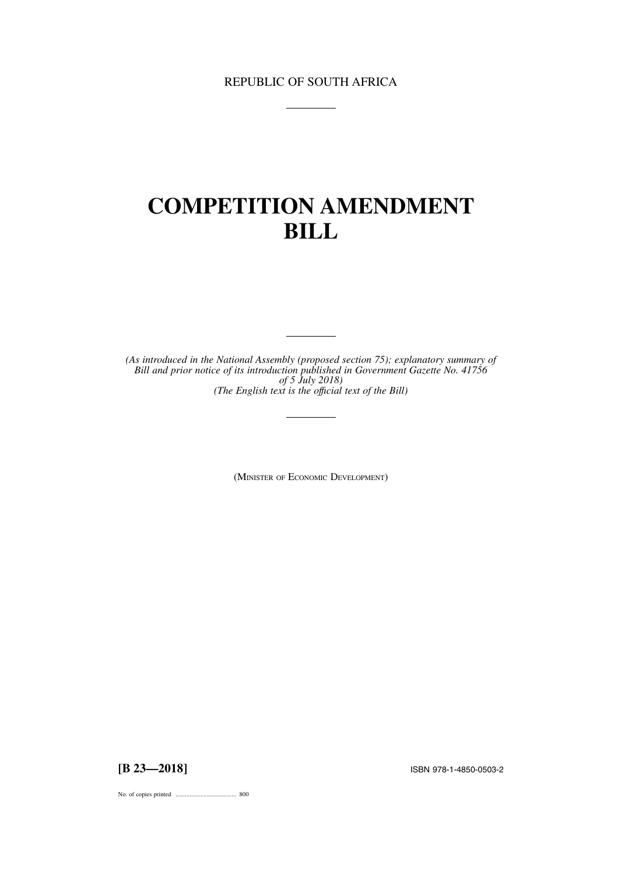# REPUBLIC OF SOUTH AFRICA

# **COMPETITION AMENDMENT BILL**

*(As introduced in the National Assembly (proposed section 75); explanatory summary of Bill and prior notice of its introduction published in Government Gazette No. 41756 of 5 July 2018) (The English text is the offıcial text of the Bill)*

(MINISTER OF ECONOMIC DEVELOPMENT)

**[B 23—2018]** ISBN 978-1-4850-0503-2

No. of copies printed ....................................... 800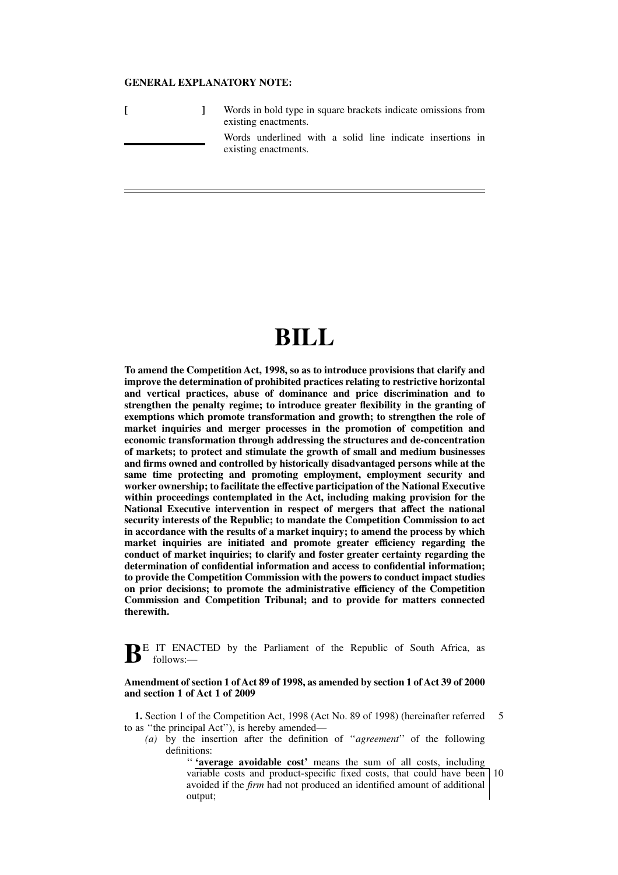# **GENERAL EXPLANATORY NOTE:**

|  | Words in bold type in square brackets indicate omissions from<br>existing enactments. |                                                                                   |  |  |  |  |  |  |  |
|--|---------------------------------------------------------------------------------------|-----------------------------------------------------------------------------------|--|--|--|--|--|--|--|
|  |                                                                                       | Words underlined with a solid line indicate insertions in<br>existing enactments. |  |  |  |  |  |  |  |

# **BILL**

**To amend the Competition Act, 1998, so as to introduce provisions that clarify and improve the determination of prohibited practices relating to restrictive horizontal and vertical practices, abuse of dominance and price discrimination and to strengthen the penalty regime; to introduce greater flexibility in the granting of exemptions which promote transformation and growth; to strengthen the role of market inquiries and merger processes in the promotion of competition and economic transformation through addressing the structures and de-concentration of markets; to protect and stimulate the growth of small and medium businesses and firms owned and controlled by historically disadvantaged persons while at the same time protecting and promoting employment, employment security and worker ownership; to facilitate the effective participation of the National Executive within proceedings contemplated in the Act, including making provision for the National Executive intervention in respect of mergers that affect the national security interests of the Republic; to mandate the Competition Commission to act in accordance with the results of a market inquiry; to amend the process by which market inquiries are initiated and promote greater efficiency regarding the conduct of market inquiries; to clarify and foster greater certainty regarding the determination of confidential information and access to confidential information; to provide the Competition Commission with the powers to conduct impact studies on prior decisions; to promote the administrative efficiency of the Competition Commission and Competition Tribunal; and to provide for matters connected therewith.**

**B**E IT ENACTED by the Parliament of the Republic of South Africa, as follows:—

#### **Amendment of section 1 of Act 89 of 1998, as amended by section 1 of Act 39 of 2000 and section 1 of Act 1 of 2009**

**1.** Section 1 of the Competition Act, 1998 (Act No. 89 of 1998) (hereinafter referred to as ''the principal Act''), is hereby amended— 5

*(a)* by the insertion after the definition of ''*agreement*'' of the following definitions:

'' **'average avoidable cost'** means the sum of all costs, including

variable costs and product-specific fixed costs, that could have been avoided if the *firm* had not produced an identified amount of additional output; 10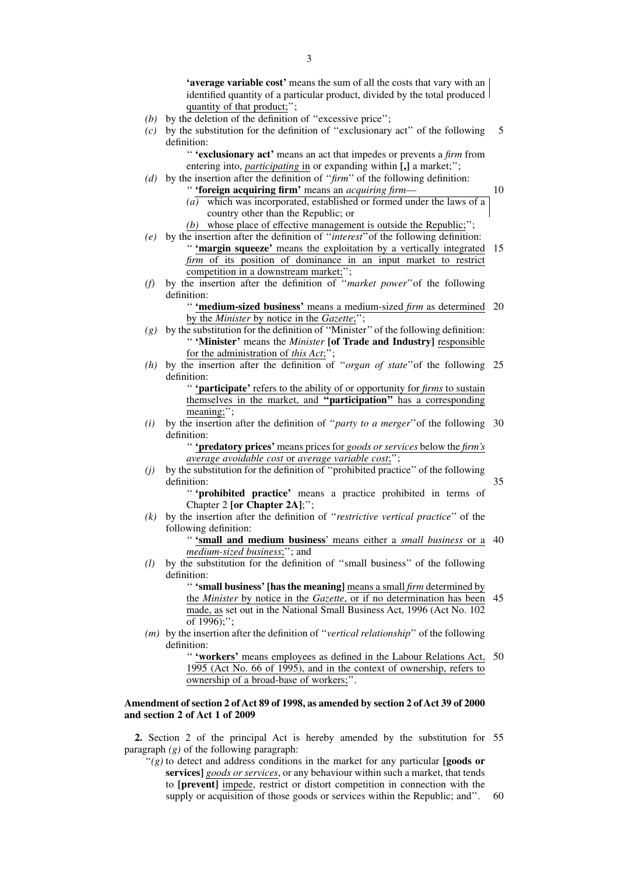**'average variable cost'** means the sum of all the costs that vary with an identified quantity of a particular product, divided by the total produced quantity of that product;'';

- *(b)* by the deletion of the definition of ''excessive price'';
- *(c)* by the substitution for the definition of ''exclusionary act'' of the following definition: 5

'' **'exclusionary act'** means an act that impedes or prevents a *firm* from entering into, *participating* in or expanding within **[,]** a market;'';

- *(d)* by the insertion after the definition of ''*firm*'' of the following definition: '' **'foreign acquiring firm'** means an *acquiring firm*—
	- *(a)* which was incorporated, established or formed under the laws of a country other than the Republic; or

10

35

- *(b)* whose place of effective management is outside the Republic;'';
- *(e)* by the insertion after the definition of ''*interest*''of the following definition: " 'margin squeeze' means the exploitation by a vertically integrated 15 *firm* of its position of dominance in an input market to restrict competition in a downstream market;";
- *(f)* by the insertion after the definition of ''*market power*''of the following definition:

'' **'medium-sized business'** means a medium-sized *firm* as determined 20 by the *Minister* by notice in the *Gazette*;'';

- *(g)* by the substitution for the definition of ''Minister'' of the following definition: '' **'Minister'** means the *Minister* **[of Trade and Industry]** responsible for the administration of *this Act*;'';
- *(h)* by the insertion after the definition of ''*organ of state*''of the following 25 definition:

'' **'participate'** refers to the ability of or opportunity for *firms* to sustain themselves in the market, and **''participation''** has a corresponding meaning;";

*(i)* by the insertion after the definition of ''*party to a merger*''of the following 30 definition:

> '' **'predatory prices'** means prices for *goods or services* below the *firm's average avoidable cost* or *average variable cost*;'';

*(j)* by the substitution for the definition of ''prohibited practice'' of the following definition:

'' **'prohibited practice'** means a practice prohibited in terms of Chapter 2 **[or Chapter 2A]**;'';

*(k)* by the insertion after the definition of ''*restrictive vertical practice*'' of the following definition:

> '' **'small and medium business**' means either a *small business* or a 40 *medium-sized business*;''; and

*(l)* by the substitution for the definition of ''small business'' of the following definition:

> '' **'small business' [has the meaning]** means a small *firm* determined by the *Minister* by notice in the *Gazette*, or if no determination has been 45 made, as set out in the National Small Business Act, 1996 (Act No. 102 of  $1996$ :":

*(m)* by the insertion after the definition of ''*vertical relationship*'' of the following definition:

> '' **'workers'** means employees as defined in the Labour Relations Act, 50 1995 (Act No. 66 of 1995), and in the context of ownership, refers to ownership of a broad-base of workers;''.

# **Amendment of section 2 of Act 89 of 1998, as amended by section 2 of Act 39 of 2000 and section 2 of Act 1 of 2009**

**2.** Section 2 of the principal Act is hereby amended by the substitution for 55 paragraph *(g)* of the following paragraph:

''*(g)* to detect and address conditions in the market for any particular **[goods or services]** *goods or services*, or any behaviour within such a market, that tends to **[prevent]** impede, restrict or distort competition in connection with the supply or acquisition of those goods or services within the Republic; and''. 60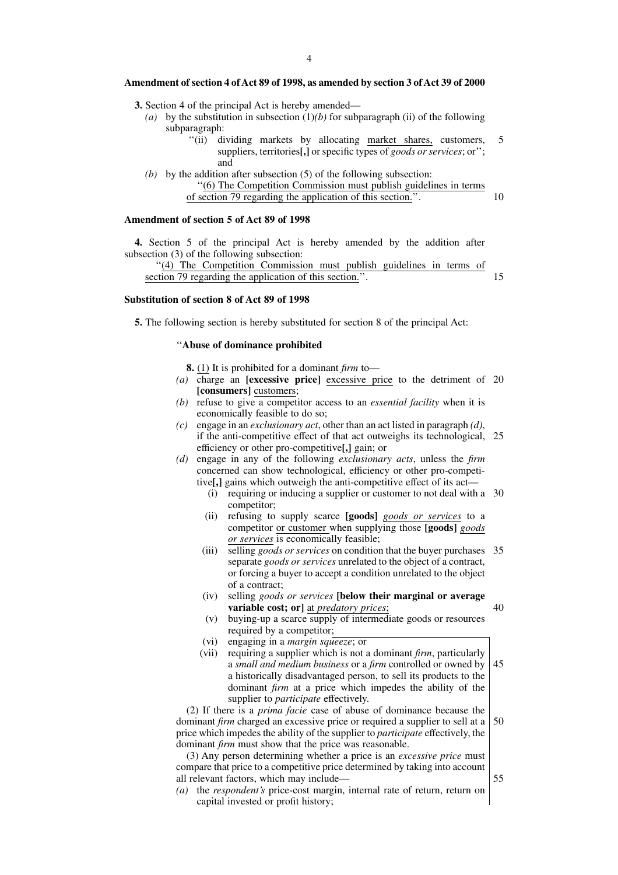#### **Amendment of section 4 of Act 89 of 1998, as amended by section 3 of Act 39 of 2000**

- **3.** Section 4 of the principal Act is hereby amended—
	- *(a)* by the substitution in subsection (1)*(b)* for subparagraph (ii) of the following subparagraph:
		- ''(ii) dividing markets by allocating market shares, customers, suppliers, territories**[,]** or specific types of *goods or services*; or''; and
	- *(b)* by the addition after subsection (5) of the following subsection: ''(6) The Competition Commission must publish guidelines in terms of section 79 regarding the application of this section.''. 10

#### **Amendment of section 5 of Act 89 of 1998**

**4.** Section 5 of the principal Act is hereby amended by the addition after subsection (3) of the following subsection:

''(4) The Competition Commission must publish guidelines in terms of section 79 regarding the application of this section.''.

15

5

#### **Substitution of section 8 of Act 89 of 1998**

**5.** The following section is hereby substituted for section 8 of the principal Act:

# ''**Abuse of dominance prohibited**

**8.** (1) It is prohibited for a dominant *firm* to—

- *(a)* charge an **[excessive price]** excessive price to the detriment of 20 **[consumers]** customers;
- *(b)* refuse to give a competitor access to an *essential facility* when it is economically feasible to do so;
- *(c)* engage in an *exclusionary act*, other than an act listed in paragraph *(d)*, if the anti-competitive effect of that act outweighs its technological, 25 efficiency or other pro-competitive**[,]** gain; or
- *(d)* engage in any of the following *exclusionary acts*, unless the *firm* concerned can show technological, efficiency or other pro-competitive**[,]** gains which outweigh the anti-competitive effect of its act—
	- (i) requiring or inducing a supplier or customer to not deal with a 30 competitor;
	- (ii) refusing to supply scarce **[goods]** *goods or services* to a competitor or customer when supplying those **[goods]** *goods or services* is economically feasible;
	- (iii) selling *goods or services* on condition that the buyer purchases 35 separate *goods or services* unrelated to the object of a contract, or forcing a buyer to accept a condition unrelated to the object of a contract;
	- (iv) selling *goods or services* **[below their marginal or average variable cost; or]** at *predatory prices*;
	- (v) buying-up a scarce supply of intermediate goods or resources required by a competitor;
	- (vi) engaging in a *margin squeeze*; or
	- (vii) requiring a supplier which is not a dominant *firm*, particularly a *small and medium business* or a *firm* controlled or owned by a historically disadvantaged person, to sell its products to the dominant *firm* at a price which impedes the ability of the supplier to *participate* effectively. 45

(2) If there is a *prima facie* case of abuse of dominance because the dominant *firm* charged an excessive price or required a supplier to sell at a price which impedes the ability of the supplier to *participate* effectively, the dominant *firm* must show that the price was reasonable. 50

(3) Any person determining whether a price is an *excessive price* must compare that price to a competitive price determined by taking into account all relevant factors, which may include—

*(a)* the *respondent's* price-cost margin, internal rate of return, return on capital invested or profit history;

55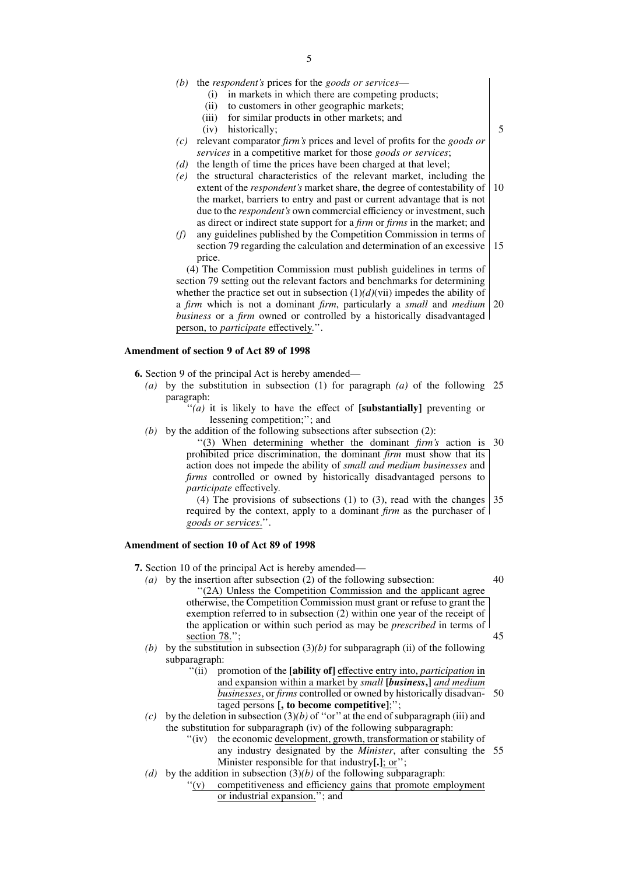- *(b)* the *respondent's* prices for the *goods or services*
	- (i) in markets in which there are competing products;
	- (ii) to customers in other geographic markets;
	- (iii) for similar products in other markets; and
	- (iv) historically;
- *(c)* relevant comparator *firm's* prices and level of profits for the *goods or services* in a competitive market for those *goods or services*;
- *(d)* the length of time the prices have been charged at that level;
- *(e)* the structural characteristics of the relevant market, including the extent of the *respondent's* market share, the degree of contestability of the market, barriers to entry and past or current advantage that is not due to the *respondent's* own commercial efficiency or investment, such as direct or indirect state support for a *firm* or *firms* in the market; and 10
- *(f)* any guidelines published by the Competition Commission in terms of section 79 regarding the calculation and determination of an excessive price. 15

(4) The Competition Commission must publish guidelines in terms of section 79 setting out the relevant factors and benchmarks for determining whether the practice set out in subsection  $(1)(d)$ (vii) impedes the ability of a *firm* which is not a dominant *firm*, particularly a *small* and *medium business* or a *firm* owned or controlled by a historically disadvantaged person, to *participate* effectively.''. 20

# **Amendment of section 9 of Act 89 of 1998**

**6.** Section 9 of the principal Act is hereby amended—

- *(a)* by the substitution in subsection (1) for paragraph *(a)* of the following 25 paragraph:
	- ''*(a)* it is likely to have the effect of **[substantially]** preventing or lessening competition;''; and
- *(b)* by the addition of the following subsections after subsection (2):

''(3) When determining whether the dominant *firm's* action is prohibited price discrimination, the dominant *firm* must show that its action does not impede the ability of *small and medium businesses* and *firms* controlled or owned by historically disadvantaged persons to *participate* effectively. 30

(4) The provisions of subsections (1) to (3), read with the changes required by the context, apply to a dominant *firm* as the purchaser of *goods or services*.''. 35

#### **Amendment of section 10 of Act 89 of 1998**

**7.** Section 10 of the principal Act is hereby amended—

*(a)* by the insertion after subsection (2) of the following subsection: ''(2A) Unless the Competition Commission and the applicant agree otherwise, the Competition Commission must grant or refuse to grant the

exemption referred to in subsection (2) within one year of the receipt of the application or within such period as may be *prescribed* in terms of section 78.";

- *(b)* by the substitution in subsection  $(3)(b)$  for subparagraph (ii) of the following subparagraph:
	- ''(ii) promotion of the **[ability of]** effective entry into, *participation* in and expansion within a market by *small* **[***business***,]** *and medium businesses*, or *firms* controlled or owned by historically disadvantaged persons **[, to become competitive]**;''; 50
- *(c)* by the deletion in subsection  $(3)(b)$  of "or" at the end of subparagraph (iii) and the substitution for subparagraph (iv) of the following subparagraph:
	- ''(iv) the economic development, growth, transformation or stability of any industry designated by the *Minister*, after consulting the 55Minister responsible for that industry**[.]**; or'';
- (d) by the addition in subsection  $(3)(b)$  of the following subparagraph:
	- ''(v) competitiveness and efficiency gains that promote employment or industrial expansion.''; and

5

40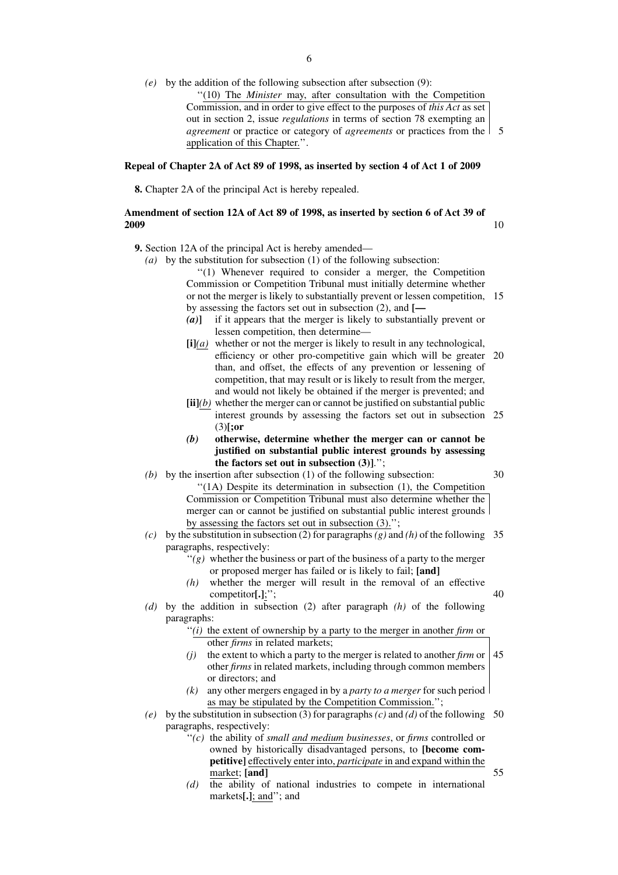*(e)* by the addition of the following subsection after subsection (9): ''(10) The *Minister* may, after consultation with the Competition Commission, and in order to give effect to the purposes of *this Act* as set out in section 2, issue *regulations* in terms of section 78 exempting an *agreement* or practice or category of *agreements* or practices from the 5 application of this Chapter.''.

#### **Repeal of Chapter 2A of Act 89 of 1998, as inserted by section 4 of Act 1 of 2009**

**8.** Chapter 2A of the principal Act is hereby repealed.

# **Amendment of section 12A of Act 89 of 1998, as inserted by section 6 of Act 39 of 2009**

**9.** Section 12A of the principal Act is hereby amended—

*(a)* by the substitution for subsection (1) of the following subsection: ''(1) Whenever required to consider a merger, the Competition

Commission or Competition Tribunal must initially determine whether or not the merger is likely to substantially prevent or lessen competition, 15 by assessing the factors set out in subsection (2), and **[—**

10

30

40

- *(a)***]** if it appears that the merger is likely to substantially prevent or lessen competition, then determine—
- **[i]***(a)* whether or not the merger is likely to result in any technological, efficiency or other pro-competitive gain which will be greater 20 than, and offset, the effects of any prevention or lessening of competition, that may result or is likely to result from the merger, and would not likely be obtained if the merger is prevented; and
- **[ii]***(b)* whether the merger can or cannot be justified on substantial public interest grounds by assessing the factors set out in subsection 25 (3)**[;or**
- *(b)* **otherwise, determine whether the merger can or cannot be justified on substantial public interest grounds by assessing the factors set out in subsection (3)]**.'';
- *(b)* by the insertion after subsection (1) of the following subsection: ''(1A) Despite its determination in subsection (1), the Competition Commission or Competition Tribunal must also determine whether the merger can or cannot be justified on substantial public interest grounds by assessing the factors set out in subsection (3).'';
- *(c)* by the substitution in subsection (2) for paragraphs*(g)* and *(h)* of the following 35 paragraphs, respectively:
	- $'(g)$  whether the business or part of the business of a party to the merger or proposed merger has failed or is likely to fail; **[and]**
	- *(h)* whether the merger will result in the removal of an effective competitor**[.]**;'';
- *(d)* by the addition in subsection (2) after paragraph *(h)* of the following paragraphs:
	- ''*(i)* the extent of ownership by a party to the merger in another *firm* or other *firms* in related markets;
	- *(j)* the extent to which a party to the merger is related to another *firm* or other *firms* in related markets, including through common members or directors; and 45
	- *(k)* any other mergers engaged in by a *party to a merger* for such period as may be stipulated by the Competition Commission.'';
- (e) by the substitution in subsection (3) for paragraphs  $(c)$  and  $(d)$  of the following 50 paragraphs, respectively:
	- ''*(c)* the ability of *small and medium businesses*, or *firms* controlled or owned by historically disadvantaged persons, to **[become competitive]** effectively enter into, *participate* in and expand within the market; **[and]**
	- *(d)* the ability of national industries to compete in international markets**[.]**; and''; and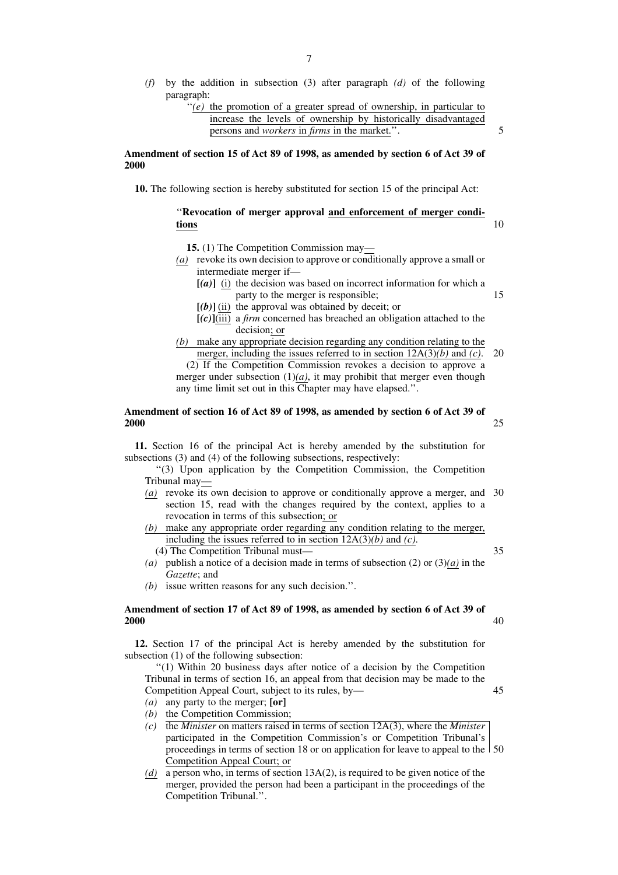*(f)* by the addition in subsection (3) after paragraph *(d)* of the following paragraph:

5

15

25

#### **Amendment of section 15 of Act 89 of 1998, as amended by section 6 of Act 39 of 2000**

**10.** The following section is hereby substituted for section 15 of the principal Act:

#### ''**Revocation of merger approval and enforcement of merger conditions** 10

- **15.** (1) The Competition Commission may—
- *(a)* revoke its own decision to approve or conditionally approve a small or intermediate merger if—
	- **[***(a)***]** (i) the decision was based on incorrect information for which a party to the merger is responsible;
	- $[(b)]$  (ii) the approval was obtained by deceit; or
	- **[***(c)***]**(iii) a *firm* concerned has breached an obligation attached to the decision; or
- *(b)* make any appropriate decision regarding any condition relating to the merger, including the issues referred to in section 12A(3)*(b)* and *(c)*. 20

(2) If the Competition Commission revokes a decision to approve a merger under subsection  $(1)(a)$ , it may prohibit that merger even though any time limit set out in this Chapter may have elapsed.''.

#### **Amendment of section 16 of Act 89 of 1998, as amended by section 6 of Act 39 of 2000**

**11.** Section 16 of the principal Act is hereby amended by the substitution for subsections (3) and (4) of the following subsections, respectively:

''(3) Upon application by the Competition Commission, the Competition Tribunal may—

- *(a)* revoke its own decision to approve or conditionally approve a merger, and 30 section 15, read with the changes required by the context, applies to a revocation in terms of this subsection; or
- *(b)* make any appropriate order regarding any condition relating to the merger, including the issues referred to in section 12A(3)*(b)* and *(c)*. (4) The Competition Tribunal must—
- *(a)* publish a notice of a decision made in terms of subsection (2) or (3)*(a)* in the *Gazette*; and
- *(b)* issue written reasons for any such decision.''.

# **Amendment of section 17 of Act 89 of 1998, as amended by section 6 of Act 39 of 2000**

**12.** Section 17 of the principal Act is hereby amended by the substitution for subsection (1) of the following subsection:

''(1) Within 20 business days after notice of a decision by the Competition Tribunal in terms of section 16, an appeal from that decision may be made to the Competition Appeal Court, subject to its rules, by—

- *(a)* any party to the merger; **[or]**
- *(b)* the Competition Commission;
- *(c)* the *Minister* on matters raised in terms of section 12A(3), where the *Minister* participated in the Competition Commission's or Competition Tribunal's proceedings in terms of section 18 or on application for leave to appeal to the 50Competition Appeal Court; or
- *(d)* a person who, in terms of section 13A(2), is required to be given notice of the merger, provided the person had been a participant in the proceedings of the Competition Tribunal.''.

35

40

<sup>&</sup>quot;(e) the promotion of a greater spread of ownership, in particular to increase the levels of ownership by historically disadvantaged persons and *workers* in *firms* in the market.''.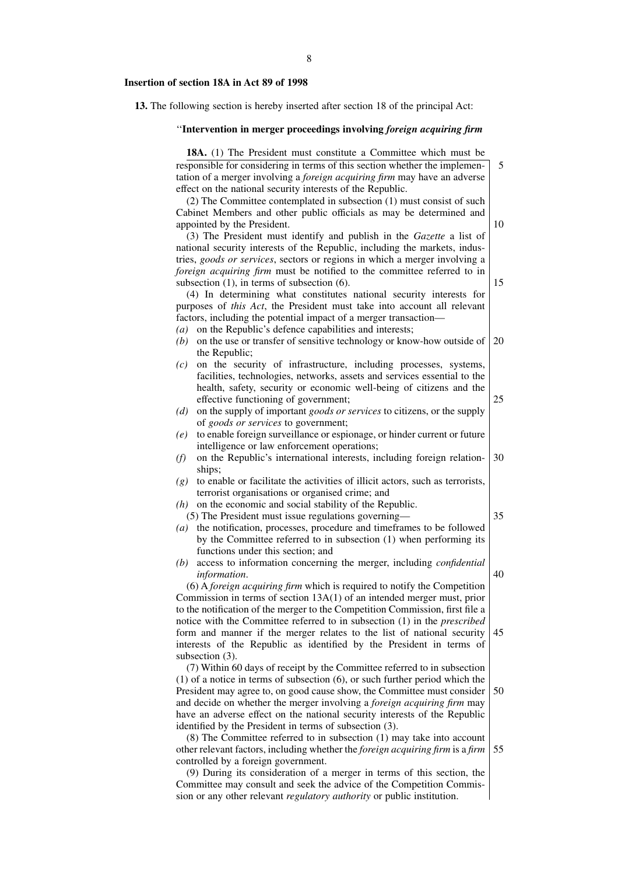#### **Insertion of section 18A in Act 89 of 1998**

**13.** The following section is hereby inserted after section 18 of the principal Act:

''**Intervention in merger proceedings involving** *foreign acquiring firm* 18A. (1) The President must constitute a Committee which must be responsible for considering in terms of this section whether the implementation of a merger involving a *foreign acquiring firm* may have an adverse effect on the national security interests of the Republic. (2) The Committee contemplated in subsection (1) must consist of such Cabinet Members and other public officials as may be determined and appointed by the President. (3) The President must identify and publish in the *Gazette* a list of national security interests of the Republic, including the markets, industries, *goods or services*, sectors or regions in which a merger involving a *foreign acquiring firm* must be notified to the committee referred to in subsection (1), in terms of subsection (6). (4) In determining what constitutes national security interests for purposes of *this Act*, the President must take into account all relevant factors, including the potential impact of a merger transaction— *(a)* on the Republic's defence capabilities and interests; *(b)* on the use or transfer of sensitive technology or know-how outside of the Republic; *(c)* on the security of infrastructure, including processes, systems, facilities, technologies, networks, assets and services essential to the health, safety, security or economic well-being of citizens and the effective functioning of government; *(d)* on the supply of important *goods or services* to citizens, or the supply of *goods or services* to government; *(e)* to enable foreign surveillance or espionage, or hinder current or future intelligence or law enforcement operations; *(f)* on the Republic's international interests, including foreign relationships; *(g)* to enable or facilitate the activities of illicit actors, such as terrorists, terrorist organisations or organised crime; and *(h)* on the economic and social stability of the Republic. (5) The President must issue regulations governing— *(a)* the notification, processes, procedure and timeframes to be followed by the Committee referred to in subsection (1) when performing its functions under this section; and *(b)* access to information concerning the merger, including *confidential information*. (6) A *foreign acquiring firm* which is required to notify the Competition Commission in terms of section 13A(1) of an intended merger must, prior to the notification of the merger to the Competition Commission, first file a notice with the Committee referred to in subsection (1) in the *prescribed* form and manner if the merger relates to the list of national security interests of the Republic as identified by the President in terms of subsection  $(3)$ . (7) Within 60 days of receipt by the Committee referred to in subsection 5 10 15 20 25 30 35 40 45

(1) of a notice in terms of subsection (6), or such further period which the President may agree to, on good cause show, the Committee must consider and decide on whether the merger involving a *foreign acquiring firm* may have an adverse effect on the national security interests of the Republic identified by the President in terms of subsection (3). 50

(8) The Committee referred to in subsection (1) may take into account other relevant factors, including whether the *foreign acquiring firm* is a *firm* controlled by a foreign government. 55

(9) During its consideration of a merger in terms of this section, the Committee may consult and seek the advice of the Competition Commission or any other relevant *regulatory authority* or public institution.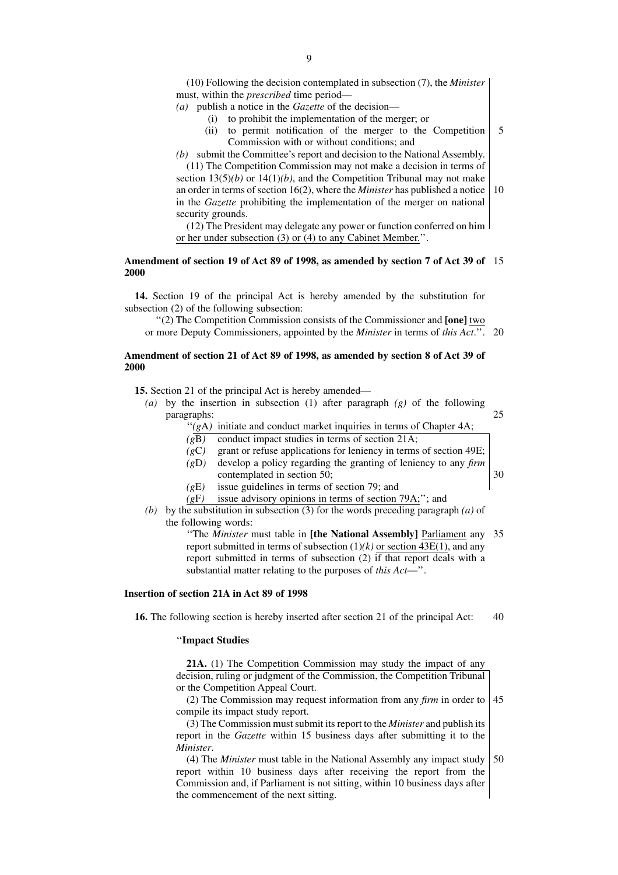(10) Following the decision contemplated in subsection (7), the *Minister* must, within the *prescribed* time period—

- *(a)* publish a notice in the *Gazette* of the decision—
	- (i) to prohibit the implementation of the merger; or
	- (ii) to permit notification of the merger to the Competition Commission with or without conditions; and 5

*(b)* submit the Committee's report and decision to the National Assembly.

(11) The Competition Commission may not make a decision in terms of section  $13(5)(b)$  or  $14(1)(b)$ , and the Competition Tribunal may not make an order in terms of section 16(2), where the *Minister* has published a notice in the *Gazette* prohibiting the implementation of the merger on national security grounds. 10

(12) The President may delegate any power or function conferred on him or her under subsection (3) or (4) to any Cabinet Member.''.

#### **Amendment of section 19 of Act 89 of 1998, as amended by section 7 of Act 39 of** 15 **2000**

**14.** Section 19 of the principal Act is hereby amended by the substitution for subsection (2) of the following subsection:

''(2) The Competition Commission consists of the Commissioner and **[one]** two or more Deputy Commissioners, appointed by the *Minister* in terms of *this Act*.''. 20

#### **Amendment of section 21 of Act 89 of 1998, as amended by section 8 of Act 39 of 2000**

**15.** Section 21 of the principal Act is hereby amended—

*(a)* by the insertion in subsection (1) after paragraph *(g)* of the following paragraphs:

25

30

- "(gA) initiate and conduct market inquiries in terms of Chapter 4A;
- *(g*B*)* conduct impact studies in terms of section 21A;
- *(g*C*)* grant or refuse applications for leniency in terms of section 49E;
- *(g*D*)* develop a policy regarding the granting of leniency to any *firm* contemplated in section 50;
- *(g*E*)* issue guidelines in terms of section 79; and
	-
- *(g*F*)* issue advisory opinions in terms of section 79A;''; and
- *(b)* by the substitution in subsection (3) for the words preceding paragraph *(a)* of the following words:

''The *Minister* must table in **[the National Assembly]** Parliament any 35 report submitted in terms of subsection  $(1)(k)$  or section  $43E(1)$ , and any report submitted in terms of subsection (2) if that report deals with a substantial matter relating to the purposes of *this Act*—''.

#### **Insertion of section 21A in Act 89 of 1998**

**16.** The following section is hereby inserted after section 21 of the principal Act: 40

#### ''**Impact Studies**

**21A.** (1) The Competition Commission may study the impact of any decision, ruling or judgment of the Commission, the Competition Tribunal or the Competition Appeal Court.

(2) The Commission may request information from any *firm* in order to compile its impact study report. 45

(3) The Commission must submit its report to the *Minister* and publish its report in the *Gazette* within 15 business days after submitting it to the *Minister*.

(4) The *Minister* must table in the National Assembly any impact study report within 10 business days after receiving the report from the Commission and, if Parliament is not sitting, within 10 business days after the commencement of the next sitting. 50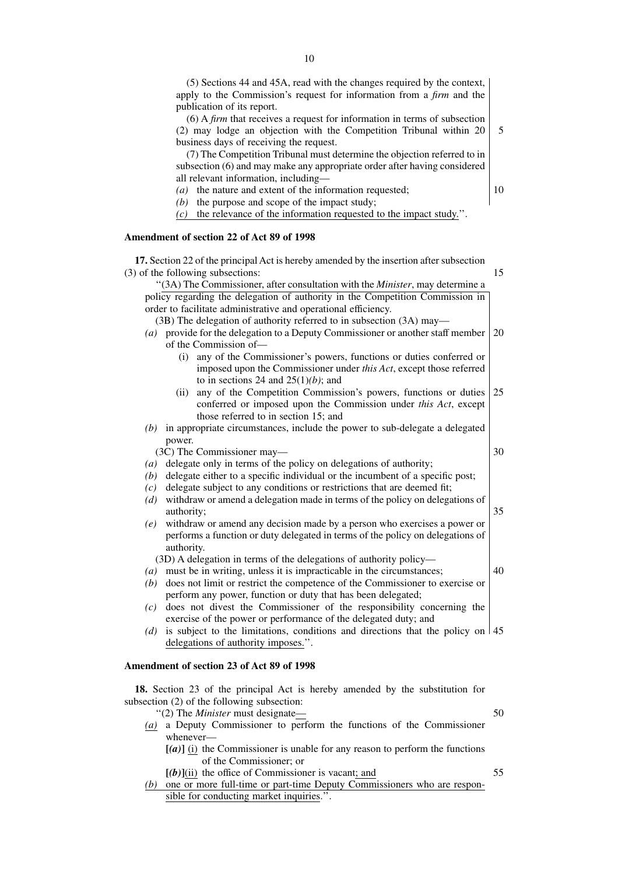| publication of its report.                                                                                                                                                       |    |
|----------------------------------------------------------------------------------------------------------------------------------------------------------------------------------|----|
| $(6)$ A <i>firm</i> that receives a request for information in terms of subsection<br>(2) may lodge an objection with the Competition Tribunal within 20                         | 5  |
| business days of receiving the request.                                                                                                                                          |    |
| (7) The Competition Tribunal must determine the objection referred to in                                                                                                         |    |
| subsection (6) and may make any appropriate order after having considered                                                                                                        |    |
| all relevant information, including-                                                                                                                                             |    |
| the nature and extent of the information requested;<br>(a)                                                                                                                       | 10 |
| the purpose and scope of the impact study;<br>(b)                                                                                                                                |    |
| the relevance of the information requested to the impact study.".<br>(c)                                                                                                         |    |
| Amendment of section 22 of Act 89 of 1998                                                                                                                                        |    |
| 17. Section 22 of the principal Act is hereby amended by the insertion after subsection                                                                                          |    |
| (3) of the following subsections:                                                                                                                                                | 15 |
| "(3A) The Commissioner, after consultation with the <i>Minister</i> , may determine a                                                                                            |    |
| policy regarding the delegation of authority in the Competition Commission in                                                                                                    |    |
| order to facilitate administrative and operational efficiency.                                                                                                                   |    |
| (3B) The delegation of authority referred to in subsection (3A) may—                                                                                                             |    |
| (a) provide for the delegation to a Deputy Commissioner or another staff member<br>of the Commission of-                                                                         | 20 |
| any of the Commissioner's powers, functions or duties conferred or<br>(i)                                                                                                        |    |
| imposed upon the Commissioner under this Act, except those referred                                                                                                              |    |
| to in sections 24 and $25(1)(b)$ ; and                                                                                                                                           |    |
| any of the Competition Commission's powers, functions or duties<br>(ii)                                                                                                          | 25 |
| conferred or imposed upon the Commission under this Act, except                                                                                                                  |    |
| those referred to in section 15; and                                                                                                                                             |    |
| $(b)$ in appropriate circumstances, include the power to sub-delegate a delegated                                                                                                |    |
| power.                                                                                                                                                                           | 30 |
| (3C) The Commissioner may-<br>delegate only in terms of the policy on delegations of authority;<br>(a)                                                                           |    |
| delegate either to a specific individual or the incumbent of a specific post;<br>(b)                                                                                             |    |
| delegate subject to any conditions or restrictions that are deemed fit;<br>(c)                                                                                                   |    |
| withdraw or amend a delegation made in terms of the policy on delegations of<br>(d)                                                                                              |    |
| authority;                                                                                                                                                                       | 35 |
| withdraw or amend any decision made by a person who exercises a power or<br>(e)                                                                                                  |    |
| performs a function or duty delegated in terms of the policy on delegations of                                                                                                   |    |
| authority.                                                                                                                                                                       |    |
| (3D) A delegation in terms of the delegations of authority policy-                                                                                                               |    |
| must be in writing, unless it is impracticable in the circumstances;<br>$\left( a\right)$<br>does not limit or restrict the competence of the Commissioner to exercise or<br>(b) | 40 |
| perform any power, function or duty that has been delegated;                                                                                                                     |    |
| does not divest the Commissioner of the responsibility concerning the<br>(c)                                                                                                     |    |
| exercise of the power or performance of the delegated duty; and                                                                                                                  |    |
| is subject to the limitations, conditions and directions that the policy on $ 45 $<br>(d)                                                                                        |    |
| delegations of authority imposes.".                                                                                                                                              |    |
| Amendment of section 23 of Act 89 of 1998                                                                                                                                        |    |
|                                                                                                                                                                                  |    |
| 18. Section 23 of the principal Act is hereby amended by the substitution for<br>subsection (2) of the following subsection:                                                     |    |

''(2) The *Minister* must designate— *(a)* a Deputy Commissioner to perform the functions of the Commissioner whenever—

**[***(a)***]** (i) the Commissioner is unable for any reason to perform the functions of the Commissioner; or

- **[***(b)***]**(ii) the office of Commissioner is vacant; and
- *(b)* one or more full-time or part-time Deputy Commissioners who are responsible for conducting market inquiries.''.

(5) Sections 44 and 45A, read with the changes required by the context, apply to the Commission's request for information from a *firm* and the

- 50
- 
- 
- 
- 55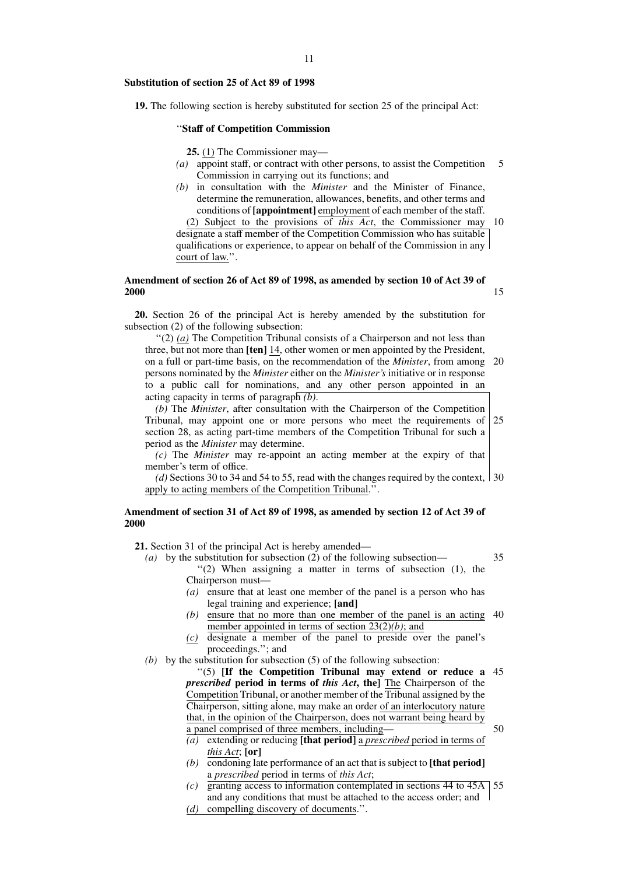#### **Substitution of section 25 of Act 89 of 1998**

**19.** The following section is hereby substituted for section 25 of the principal Act:

#### ''**Staff of Competition Commission**

**25.** (1) The Commissioner may—

- *(a)* appoint staff, or contract with other persons, to assist the Competition Commission in carrying out its functions; and 5
- *(b)* in consultation with the *Minister* and the Minister of Finance, determine the remuneration, allowances, benefits, and other terms and conditions of **[appointment]** employment of each member of the staff.

(2) Subject to the provisions of *this Act*, the Commissioner may 10 designate a staff member of the Competition Commission who has suitable qualifications or experience, to appear on behalf of the Commission in any court of law.''.

#### **Amendment of section 26 of Act 89 of 1998, as amended by section 10 of Act 39 of 2000** 15

**20.** Section 26 of the principal Act is hereby amended by the substitution for subsection (2) of the following subsection:

''(2) *(a)* The Competition Tribunal consists of a Chairperson and not less than three, but not more than **[ten]** 14, other women or men appointed by the President, on a full or part-time basis, on the recommendation of the *Minister*, from among 20 persons nominated by the *Minister* either on the *Minister's* initiative or in response to a public call for nominations, and any other person appointed in an acting capacity in terms of paragraph *(b)*.

*(b)* The *Minister*, after consultation with the Chairperson of the Competition Tribunal, may appoint one or more persons who meet the requirements of section 28, as acting part-time members of the Competition Tribunal for such a period as the *Minister* may determine. 25

*(c)* The *Minister* may re-appoint an acting member at the expiry of that member's term of office.

*(d)* Sections 30 to 34 and 54 to 55, read with the changes required by the context, 30 apply to acting members of the Competition Tribunal.''.

#### **Amendment of section 31 of Act 89 of 1998, as amended by section 12 of Act 39 of 2000**

**21.** Section 31 of the principal Act is hereby amended—

*(a)* by the substitution for subsection (2) of the following subsection— ''(2) When assigning a matter in terms of subsection (1), the Chairperson must—

35

- *(a)* ensure that at least one member of the panel is a person who has legal training and experience; **[and]**
- *(b)* ensure that no more than one member of the panel is an acting 40 member appointed in terms of section 23(2)*(b)*; and
- *(c)* designate a member of the panel to preside over the panel's proceedings.''; and
- *(b)* by the substitution for subsection (5) of the following subsection:

''(5) **[If the Competition Tribunal may extend or reduce a** 45 *prescribed* **period in terms of** *this Act***, the]** The Chairperson of the Competition Tribunal, or another member of the Tribunal assigned by the Chairperson, sitting alone, may make an order of an interlocutory nature that, in the opinion of the Chairperson, does not warrant being heard by a panel comprised of three members, including— 50

- *(a)* extending or reducing **[that period]** a *prescribed* period in terms of *this Act*; **[or]**
- *(b)* condoning late performance of an act that is subject to **[that period]** a *prescribed* period in terms of *this Act*;
- *(c)* granting access to information contemplated in sections 44 to 45A 55and any conditions that must be attached to the access order; and *(d)* compelling discovery of documents.''.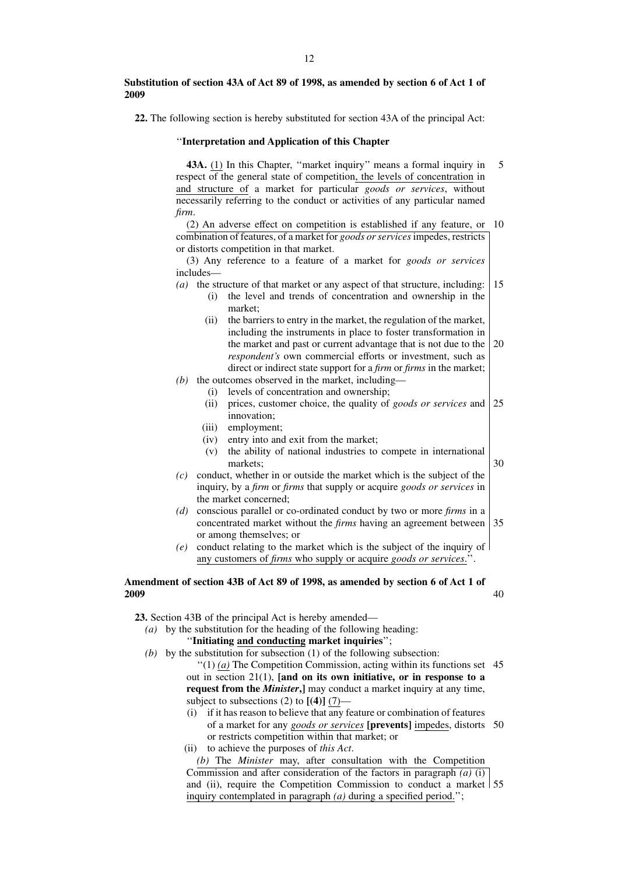#### **Substitution of section 43A of Act 89 of 1998, as amended by section 6 of Act 1 of 2009**

**22.** The following section is hereby substituted for section 43A of the principal Act:

#### ''**Interpretation and Application of this Chapter**

**43A.** (1) In this Chapter, ''market inquiry'' means a formal inquiry in respect of the general state of competition, the levels of concentration in and structure of a market for particular *goods or services*, without necessarily referring to the conduct or activities of any particular named *firm*. 5

(2) An adverse effect on competition is established if any feature, or 10 combination of features, of a market for *goods or services*impedes, restricts or distorts competition in that market.

(3) Any reference to a feature of a market for *goods or services* includes—

- *(a)* the structure of that market or any aspect of that structure, including: 15
	- (i) the level and trends of concentration and ownership in the market;
		- (ii) the barriers to entry in the market, the regulation of the market, including the instruments in place to foster transformation in the market and past or current advantage that is not due to the *respondent's* own commercial efforts or investment, such as direct or indirect state support for a *firm* or *firms* in the market; 20
- *(b)* the outcomes observed in the market, including—
	- (i) levels of concentration and ownership;
		- (ii) prices, customer choice, the quality of *goods or services* and innovation; 25
		- (iii) employment;
		- (iv) entry into and exit from the market;

(v) the ability of national industries to compete in international markets;

- 30
- *(c)* conduct, whether in or outside the market which is the subject of the inquiry, by a *firm* or *firms* that supply or acquire *goods or services* in the market concerned;
- *(d)* conscious parallel or co-ordinated conduct by two or more *firms* in a concentrated market without the *firms* having an agreement between or among themselves; or 35
- *(e)* conduct relating to the market which is the subject of the inquiry of any customers of *firms* who supply or acquire *goods or services*.''.

#### **Amendment of section 43B of Act 89 of 1998, as amended by section 6 of Act 1 of 2009** 40

**23.** Section 43B of the principal Act is hereby amended—

*(a)* by the substitution for the heading of the following heading:

# ''**Initiating and conducting market inquiries**'';

- *(b)* by the substitution for subsection (1) of the following subsection:
	- $''(1)$  (a) The Competition Commission, acting within its functions set 45 out in section 21(1), **[and on its own initiative, or in response to a request from the** *Minister***.** I may conduct a market inquiry at any time, subject to subsections (2) to  $[(4)]$  (7)—
	- (i) if it has reason to believe that any feature or combination of features of a market for any *goods or services* **[prevents]** impedes, distorts 50 or restricts competition within that market; or
	- (ii) to achieve the purposes of *this Act*.

*(b)* The *Minister* may, after consultation with the Competition Commission and after consideration of the factors in paragraph *(a)* (i) and (ii), require the Competition Commission to conduct a market 55inquiry contemplated in paragraph *(a)* during a specified period.'';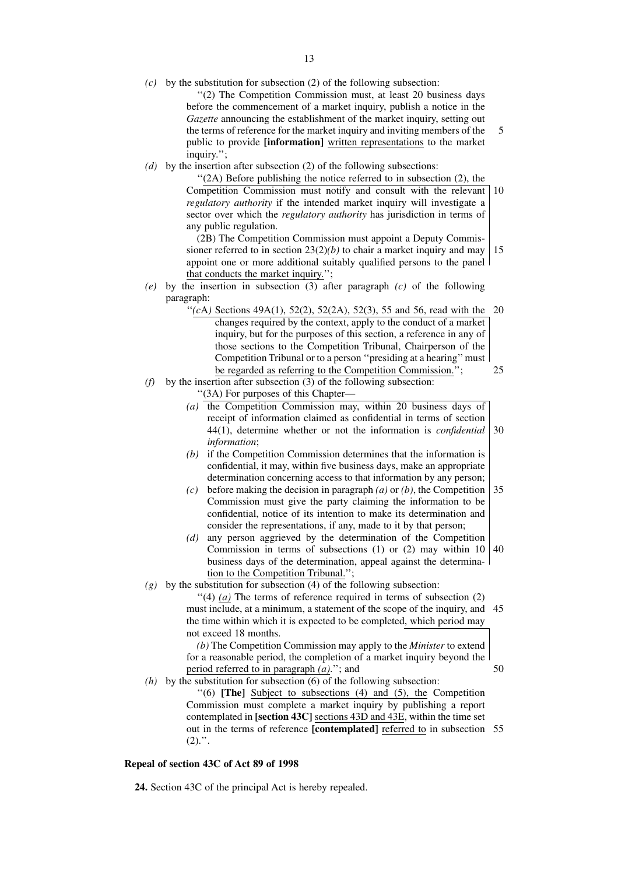*(c)* by the substitution for subsection (2) of the following subsection:

''(2) The Competition Commission must, at least 20 business days before the commencement of a market inquiry, publish a notice in the *Gazette* announcing the establishment of the market inquiry, setting out the terms of reference for the market inquiry and inviting members of the public to provide **[information]** written representations to the market inquiry.''; 5

*(d)* by the insertion after subsection (2) of the following subsections:

''(2A) Before publishing the notice referred to in subsection (2), the Competition Commission must notify and consult with the relevant 10 *regulatory authority* if the intended market inquiry will investigate a sector over which the *regulatory authority* has jurisdiction in terms of any public regulation.

(2B) The Competition Commission must appoint a Deputy Commissioner referred to in section 23(2)*(b)* to chair a market inquiry and may appoint one or more additional suitably qualified persons to the panel that conducts the market inquiry.''; 15

- *(e)* by the insertion in subsection (3) after paragraph *(c)* of the following paragraph:
	- " $(cA)$  Sections 49A(1), 52(2), 52(2A), 52(3), 55 and 56, read with the 20 changes required by the context, apply to the conduct of a market inquiry, but for the purposes of this section, a reference in any of those sections to the Competition Tribunal, Chairperson of the Competition Tribunal or to a person ''presiding at a hearing'' must be regarded as referring to the Competition Commission.''; 25
- *(f)* by the insertion after subsection (3) of the following subsection:
	- ''(3A) For purposes of this Chapter—
		- (a) the Competition Commission may, within 20 business days of receipt of information claimed as confidential in terms of section 44(1), determine whether or not the information is *confidential information*; 30
		- *(b)* if the Competition Commission determines that the information is confidential, it may, within five business days, make an appropriate determination concerning access to that information by any person;
		- *(c)* before making the decision in paragraph *(a)* or *(b)*, the Competition Commission must give the party claiming the information to be confidential, notice of its intention to make its determination and consider the representations, if any, made to it by that person; 35
		- *(d)* any person aggrieved by the determination of the Competition Commission in terms of subsections (1) or (2) may within 10 business days of the determination, appeal against the determination to the Competition Tribunal.''; 40
- $(g)$  by the substitution for subsection  $(4)$  of the following subsection:

''(4) *(a)* The terms of reference required in terms of subsection (2) must include, at a minimum, a statement of the scope of the inquiry, and 45 the time within which it is expected to be completed, which period may not exceed 18 months.

*(b)* The Competition Commission may apply to the *Minister* to extend for a reasonable period, the completion of a market inquiry beyond the period referred to in paragraph *(a)*.''; and

*(h)* by the substitution for subsection  $(6)$  of the following subsection:

''(6) **[The]** Subject to subsections (4) and (5), the Competition Commission must complete a market inquiry by publishing a report contemplated in **[section 43C]** sections 43D and 43E, within the time set out in the terms of reference **[contemplated]** referred to in subsection 55 $(2).$ ".

# **Repeal of section 43C of Act 89 of 1998**

**24.** Section 43C of the principal Act is hereby repealed.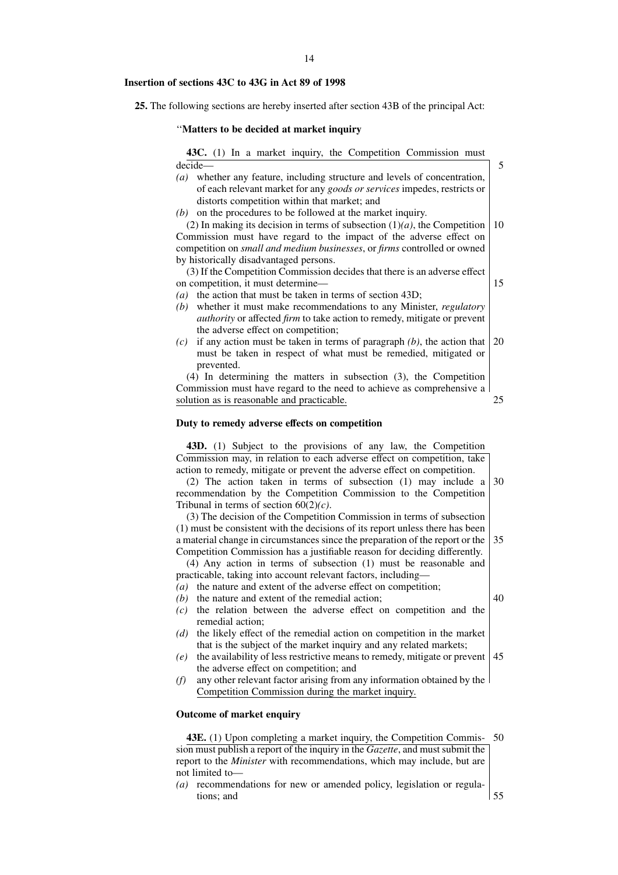#### **Insertion of sections 43C to 43G in Act 89 of 1998**

**25.** The following sections are hereby inserted after section 43B of the principal Act:

#### ''**Matters to be decided at market inquiry**

|         |  |  |  |  | <b>43C.</b> (1) In a market inquiry, the Competition Commission must      |  |
|---------|--|--|--|--|---------------------------------------------------------------------------|--|
| decide— |  |  |  |  |                                                                           |  |
|         |  |  |  |  | (a) whether any feature, including structure and levels of concentration, |  |

- of each relevant market for any *goods or services* impedes, restricts or distorts competition within that market; and
- *(b)* on the procedures to be followed at the market inquiry.

(2) In making its decision in terms of subsection  $(1)(a)$ , the Competition Commission must have regard to the impact of the adverse effect on competition on *small and medium businesses*, or *firms* controlled or owned by historically disadvantaged persons. 10

(3) If the Competition Commission decides that there is an adverse effect on competition, it must determine—

15

5

- *(a)* the action that must be taken in terms of section 43D;
- *(b)* whether it must make recommendations to any Minister, *regulatory authority* or affected *firm* to take action to remedy, mitigate or prevent the adverse effect on competition;
- *(c)* if any action must be taken in terms of paragraph *(b)*, the action that must be taken in respect of what must be remedied, mitigated or prevented. 20

(4) In determining the matters in subsection (3), the Competition Commission must have regard to the need to achieve as comprehensive a solution as is reasonable and practicable. 25

#### **Duty to remedy adverse effects on competition**

**43D.** (1) Subject to the provisions of any law, the Competition Commission may, in relation to each adverse effect on competition, take action to remedy, mitigate or prevent the adverse effect on competition.

(2) The action taken in terms of subsection (1) may include a recommendation by the Competition Commission to the Competition Tribunal in terms of section 60(2)*(c)*. 30

(3) The decision of the Competition Commission in terms of subsection (1) must be consistent with the decisions of its report unless there has been a material change in circumstances since the preparation of the report or the Competition Commission has a justifiable reason for deciding differently. 35

(4) Any action in terms of subsection (1) must be reasonable and practicable, taking into account relevant factors, including—

- *(a)* the nature and extent of the adverse effect on competition;
- *(b)* the nature and extent of the remedial action;
- *(c)* the relation between the adverse effect on competition and the remedial action;
- *(d)* the likely effect of the remedial action on competition in the market that is the subject of the market inquiry and any related markets;
- *(e)* the availability of less restrictive means to remedy, mitigate or prevent the adverse effect on competition; and 45
- *(f)* any other relevant factor arising from any information obtained by the Competition Commission during the market inquiry.

# **Outcome of market enquiry**

**43E.** (1) Upon completing a market inquiry, the Competition Commission must publish a report of the inquiry in the *Gazette*, and must submit the report to the *Minister* with recommendations, which may include, but are not limited to— 50

*(a)* recommendations for new or amended policy, legislation or regulations; and 55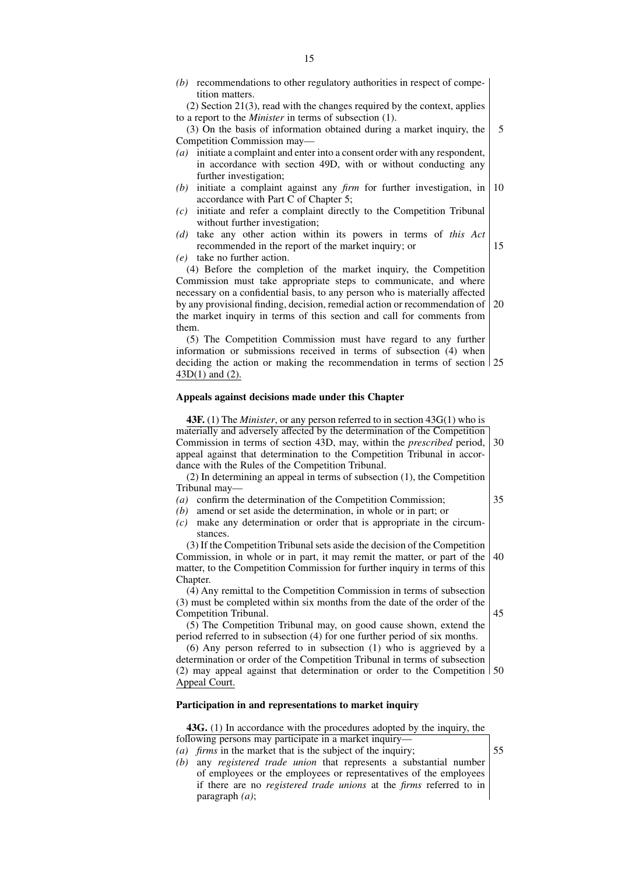(2) Section 21(3), read with the changes required by the context, applies to a report to the *Minister* in terms of subsection (1).

(3) On the basis of information obtained during a market inquiry, the Competition Commission may— 5

- *(a)* initiate a complaint and enter into a consent order with any respondent, in accordance with section 49D, with or without conducting any further investigation;
- *(b)* initiate a complaint against any *firm* for further investigation, in accordance with Part C of Chapter 5; 10
- *(c)* initiate and refer a complaint directly to the Competition Tribunal without further investigation:
- *(d)* take any other action within its powers in terms of *this Act* recommended in the report of the market inquiry; or 15
- *(e)* take no further action.

(4) Before the completion of the market inquiry, the Competition Commission must take appropriate steps to communicate, and where necessary on a confidential basis, to any person who is materially affected by any provisional finding, decision, remedial action or recommendation of the market inquiry in terms of this section and call for comments from them. 20

(5) The Competition Commission must have regard to any further information or submissions received in terms of subsection (4) when deciding the action or making the recommendation in terms of section 25 43D(1) and (2).

# **Appeals against decisions made under this Chapter**

**43F.** (1) The *Minister*, or any person referred to in section 43G(1) who is materially and adversely affected by the determination of the Competition Commission in terms of section 43D, may, within the *prescribed* period, appeal against that determination to the Competition Tribunal in accordance with the Rules of the Competition Tribunal. 30

(2) In determining an appeal in terms of subsection (1), the Competition Tribunal may—

- *(a)* confirm the determination of the Competition Commission;
- *(b)* amend or set aside the determination, in whole or in part; or
- *(c)* make any determination or order that is appropriate in the circumstances.

(3) If the Competition Tribunal sets aside the decision of the Competition Commission, in whole or in part, it may remit the matter, or part of the matter, to the Competition Commission for further inquiry in terms of this Chapter. 40

(4) Any remittal to the Competition Commission in terms of subsection (3) must be completed within six months from the date of the order of the Competition Tribunal.

(5) The Competition Tribunal may, on good cause shown, extend the period referred to in subsection (4) for one further period of six months.

(6) Any person referred to in subsection (1) who is aggrieved by a determination or order of the Competition Tribunal in terms of subsection (2) may appeal against that determination or order to the Competition 50 Appeal Court.

#### **Participation in and representations to market inquiry**

**43G.** (1) In accordance with the procedures adopted by the inquiry, the following persons may participate in a market inquiry—

- *(a) firms* in the market that is the subject of the inquiry;
- *(b)* any *registered trade union* that represents a substantial number of employees or the employees or representatives of the employees if there are no *registered trade unions* at the *firms* referred to in paragraph *(a)*;

35

55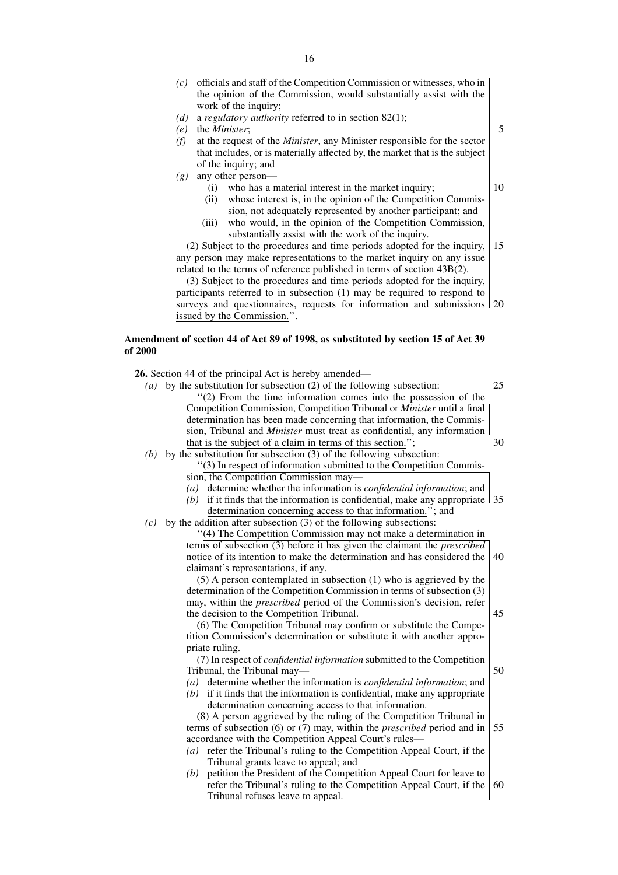- *(c)* officials and staff of the Competition Commission or witnesses, who in the opinion of the Commission, would substantially assist with the work of the inquiry;
- *(d)* a *regulatory authority* referred to in section 82(1);
- *(e)* the *Minister*;
- *(f)* at the request of the *Minister*, any Minister responsible for the sector that includes, or is materially affected by, the market that is the subject of the inquiry; and
- *(g)* any other person—
	- (i) who has a material interest in the market inquiry;
	- (ii) whose interest is, in the opinion of the Competition Commission, not adequately represented by another participant; and
	- (iii) who would, in the opinion of the Competition Commission, substantially assist with the work of the inquiry.

(2) Subject to the procedures and time periods adopted for the inquiry, any person may make representations to the market inquiry on any issue related to the terms of reference published in terms of section 43B(2). 15

(3) Subject to the procedures and time periods adopted for the inquiry, participants referred to in subsection (1) may be required to respond to surveys and questionnaires, requests for information and submissions 20 issued by the Commission.''.

# **Amendment of section 44 of Act 89 of 1998, as substituted by section 15 of Act 39 of 2000**

**26.** Section 44 of the principal Act is hereby amended—

- *(a)* by the substitution for subsection (2) of the following subsection: ''(2) From the time information comes into the possession of the Competition Commission, Competition Tribunal or *Minister* until a final determination has been made concerning that information, the Commission, Tribunal and *Minister* must treat as confidential, any information that is the subject of a claim in terms of this section.' 25 30
- *(b)* by the substitution for subsection (3) of the following subsection: ''(3) In respect of information submitted to the Competition Commis
	- sion, the Competition Commission may—
	- *(a)* determine whether the information is *confidential information*; and
	- (b) if it finds that the information is confidential, make any appropriate  $\vert$  35 determination concerning access to that information.''; and
- $(c)$  by the addition after subsection  $\overline{(3)}$  of the following subsections:

''(4) The Competition Commission may not make a determination in terms of subsection (3) before it has given the claimant the *prescribed* notice of its intention to make the determination and has considered the claimant's representations, if any. 40

(5) A person contemplated in subsection (1) who is aggrieved by the determination of the Competition Commission in terms of subsection (3) may, within the *prescribed* period of the Commission's decision, refer the decision to the Competition Tribunal.

(6) The Competition Tribunal may confirm or substitute the Competition Commission's determination or substitute it with another appropriate ruling.

(7) In respect of *confidential information* submitted to the Competition Tribunal, the Tribunal may— 50

- *(a)* determine whether the information is *confidential information*; and
- *(b)* if it finds that the information is confidential, make any appropriate determination concerning access to that information.

(8) A person aggrieved by the ruling of the Competition Tribunal in terms of subsection (6) or (7) may, within the *prescribed* period and in accordance with the Competition Appeal Court's rules— 55

- *(a)* refer the Tribunal's ruling to the Competition Appeal Court, if the Tribunal grants leave to appeal; and
- *(b)* petition the President of the Competition Appeal Court for leave to refer the Tribunal's ruling to the Competition Appeal Court, if the Tribunal refuses leave to appeal. 60

10

45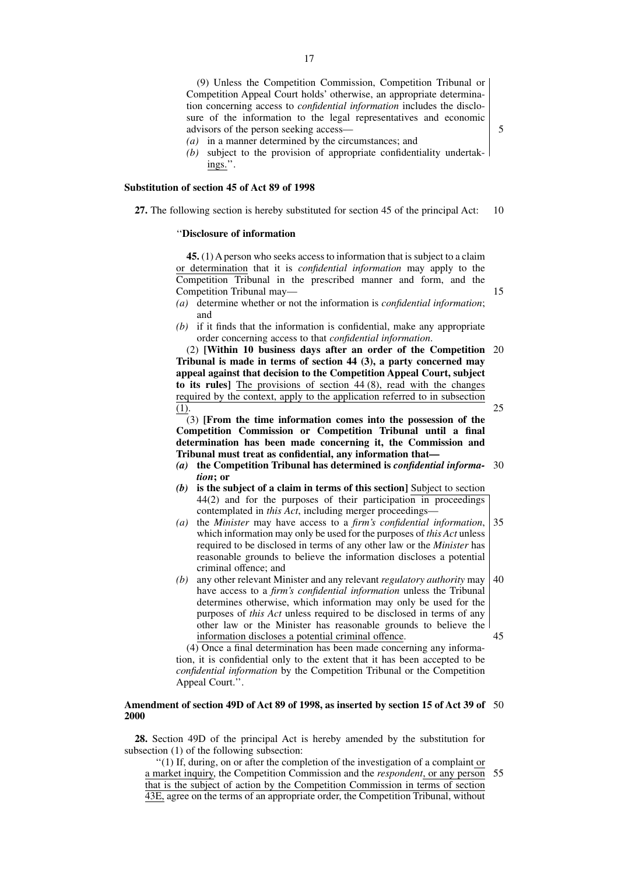(9) Unless the Competition Commission, Competition Tribunal or Competition Appeal Court holds' otherwise, an appropriate determination concerning access to *confidential information* includes the disclosure of the information to the legal representatives and economic advisors of the person seeking access—

- *(a)* in a manner determined by the circumstances; and
- *(b)* subject to the provision of appropriate confidentiality undertakings.''.

#### **Substitution of section 45 of Act 89 of 1998**

**27.** The following section is hereby substituted for section 45 of the principal Act: 10

#### ''**Disclosure of information**

**45.** (1) A person who seeks access to information that is subject to a claim or determination that it is *confidential information* may apply to the Competition Tribunal in the prescribed manner and form, and the Competition Tribunal may—

- *(a)* determine whether or not the information is *confidential information*; and
- *(b)* if it finds that the information is confidential, make any appropriate order concerning access to that *confidential information*.

(2) **[Within 10 business days after an order of the Competition** 20 **Tribunal is made in terms of section 44 (3), a party concerned may appeal against that decision to the Competition Appeal Court, subject to its rules]** The provisions of section 44 (8), read with the changes required by the context, apply to the application referred to in subsection (1).

(3) **[From the time information comes into the possession of the Competition Commission or Competition Tribunal until a final determination has been made concerning it, the Commission and Tribunal must treat as confidential, any information that—**

- *(a)* **the Competition Tribunal has determined is** *confidential information***; or** 30
- *(b)* **is the subject of a claim in terms of this section]** Subject to section 44(2) and for the purposes of their participation in proceedings contemplated in *this Act*, including merger proceedings—
- *(a)* the *Minister* may have access to a *firm's confidential information*, which information may only be used for the purposes of *this Act* unless required to be disclosed in terms of any other law or the *Minister* has reasonable grounds to believe the information discloses a potential criminal offence; and 35
- *(b)* any other relevant Minister and any relevant *regulatory authority* may have access to a *firm's confidential information* unless the Tribunal determines otherwise, which information may only be used for the purposes of *this Act* unless required to be disclosed in terms of any other law or the Minister has reasonable grounds to believe the information discloses a potential criminal offence. 40 45

(4) Once a final determination has been made concerning any information, it is confidential only to the extent that it has been accepted to be *confidential information* by the Competition Tribunal or the Competition Appeal Court.''.

#### **Amendment of section 49D of Act 89 of 1998, as inserted by section 15 of Act 39 of** 50 **2000**

**28.** Section 49D of the principal Act is hereby amended by the substitution for subsection (1) of the following subsection:

''(1) If, during, on or after the completion of the investigation of a complaint or a market inquiry, the Competition Commission and the *respondent*, or any person that is the subject of action by the Competition Commission in terms of section 43E, agree on the terms of an appropriate order, the Competition Tribunal, without 55

5

15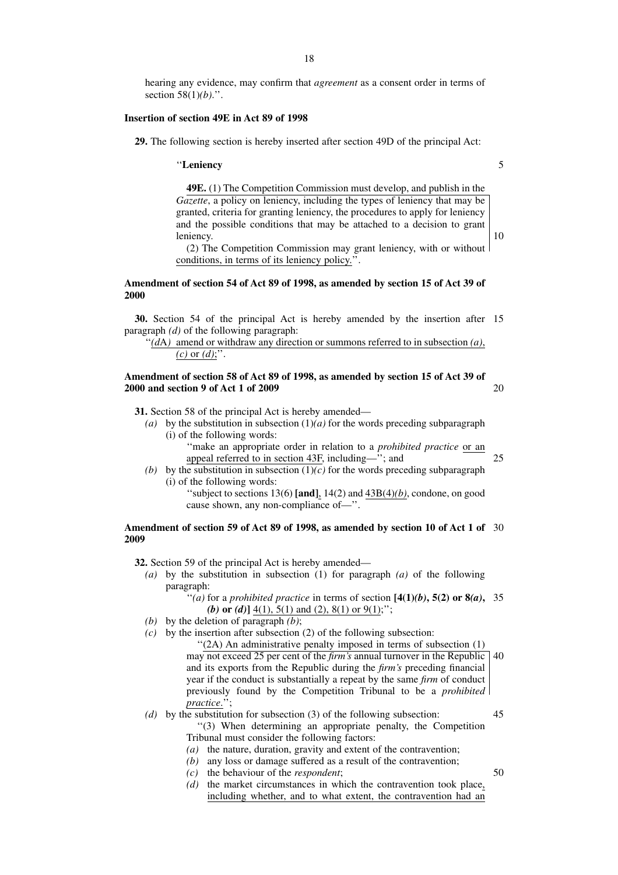hearing any evidence, may confirm that *agreement* as a consent order in terms of section 58(1)*(b)*.''.

#### **Insertion of section 49E in Act 89 of 1998**

**29.** The following section is hereby inserted after section 49D of the principal Act:

#### ''**Leniency**

**49E.** (1) The Competition Commission must develop, and publish in the *Gazette*, a policy on leniency, including the types of leniency that may be granted, criteria for granting leniency, the procedures to apply for leniency and the possible conditions that may be attached to a decision to grant leniency.

(2) The Competition Commission may grant leniency, with or without conditions, in terms of its leniency policy.''.

# **Amendment of section 54 of Act 89 of 1998, as amended by section 15 of Act 39 of 2000**

**30.** Section 54 of the principal Act is hereby amended by the insertion after 15 paragraph *(d)* of the following paragraph:

# $\lq\lq$ <sup>'</sup> $(dA)$  amend or withdraw any direction or summons referred to in subsection *(a)*,  $(c)$  or  $(d)$ ;".

# **Amendment of section 58 of Act 89 of 1998, as amended by section 15 of Act 39 of 2000 and section 9 of Act 1 of 2009**

**31.** Section 58 of the principal Act is hereby amended—

- *(a)* by the substitution in subsection (1)*(a)* for the words preceding subparagraph (i) of the following words:
	- ''make an appropriate order in relation to a *prohibited practice* or an appeal referred to in section 43F, including—''; and
- 25

50

20

- *(b)* by the substitution in subsection  $(1)(c)$  for the words preceding subparagraph (i) of the following words:
	- ''subject to sections 13(6) **[and]**, 14(2) and 43B(4)*(b)*, condone, on good cause shown, any non-compliance of—''.

#### **Amendment of section 59 of Act 89 of 1998, as amended by section 10 of Act 1 of** 30 **2009**

**32.** Section 59 of the principal Act is hereby amended—

- *(a)* by the substitution in subsection (1) for paragraph *(a)* of the following paragraph:
	- "(a) for a *prohibited practice* in terms of section  $[4(1)(b), 5(2)$  or  $8(a), 35$ *(b)* **or** *(d)***]** 4(1), 5(1) and (2), 8(1) or 9(1);'';
- *(b)* by the deletion of paragraph *(b)*;
- *(c)* by the insertion after subsection (2) of the following subsection:
	- ''(2A) An administrative penalty imposed in terms of subsection (1) may not exceed 25 per cent of the *firm's* annual turnover in the Republic 40 and its exports from the Republic during the *firm's* preceding financial year if the conduct is substantially a repeat by the same *firm* of conduct previously found by the Competition Tribunal to be a *prohibited practice*.'';
- *(d)* by the substitution for subsection (3) of the following subsection: ''(3) When determining an appropriate penalty, the Competition Tribunal must consider the following factors: 45
	- *(a)* the nature, duration, gravity and extent of the contravention;
	- *(b)* any loss or damage suffered as a result of the contravention;
	- *(c)* the behaviour of the *respondent*;
	- *(d)* the market circumstances in which the contravention took place, including whether, and to what extent, the contravention had an

5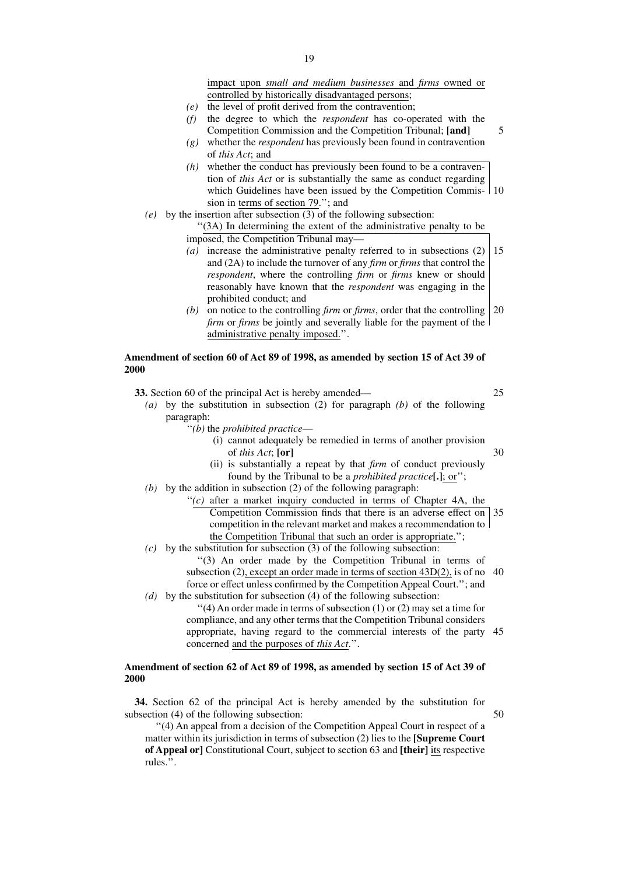impact upon *small and medium businesses* and *firms* owned or controlled by historically disadvantaged persons;

- *(e)* the level of profit derived from the contravention;
- *(f)* the degree to which the *respondent* has co-operated with the Competition Commission and the Competition Tribunal; **[and]**
- *(g)* whether the *respondent* has previously been found in contravention of *this Act*; and
- *(h)* whether the conduct has previously been found to be a contravention of *this Act* or is substantially the same as conduct regarding which Guidelines have been issued by the Competition Commis-10 sion in terms of section 79.''; and
- *(e)* by the insertion after subsection (3) of the following subsection:
	- ''(3A) In determining the extent of the administrative penalty to be imposed, the Competition Tribunal may—
		- *(a)* increase the administrative penalty referred to in subsections (2) and (2A) to include the turnover of any *firm* or *firms* that control the *respondent*, where the controlling *firm* or *firms* knew or should reasonably have known that the *respondent* was engaging in the prohibited conduct; and 15
		- *(b)* on notice to the controlling *firm* or *firms*, order that the controlling 20 *firm* or *firms* be jointly and severally liable for the payment of the administrative penalty imposed.''.

# **Amendment of section 60 of Act 89 of 1998, as amended by section 15 of Act 39 of 2000**

**33.** Section 60 of the principal Act is hereby amended—

- *(a)* by the substitution in subsection (2) for paragraph *(b)* of the following paragraph:
	- ''*(b)* the *prohibited practice*
		- (i) cannot adequately be remedied in terms of another provision of *this Act*; **[or]** 30
		- (ii) is substantially a repeat by that *firm* of conduct previously found by the Tribunal to be a *prohibited practice***[.]**; or'';
- *(b)* by the addition in subsection (2) of the following paragraph:
	- $(c)$  after a market inquiry conducted in terms of Chapter 4A, the Competition Commission finds that there is an adverse effect on 35 competition in the relevant market and makes a recommendation to the Competition Tribunal that such an order is appropriate.'';
- *(c)* by the substitution for subsection (3) of the following subsection:
	- ''(3) An order made by the Competition Tribunal in terms of subsection (2), except an order made in terms of section 43D(2), is of no 40 force or effect unless confirmed by the Competition Appeal Court.''; and
- *(d)* by the substitution for subsection (4) of the following subsection:  $''(4)$  An order made in terms of subsection (1) or (2) may set a time for compliance, and any other terms that the Competition Tribunal considers appropriate, having regard to the commercial interests of the party 45 concerned and the purposes of *this Act*.''.

#### **Amendment of section 62 of Act 89 of 1998, as amended by section 15 of Act 39 of 2000**

**34.** Section 62 of the principal Act is hereby amended by the substitution for subsection (4) of the following subsection:

''(4) An appeal from a decision of the Competition Appeal Court in respect of a matter within its jurisdiction in terms of subsection (2) lies to the **[Supreme Court of Appeal or]** Constitutional Court, subject to section 63 and **[their]** its respective rules.''.

25

50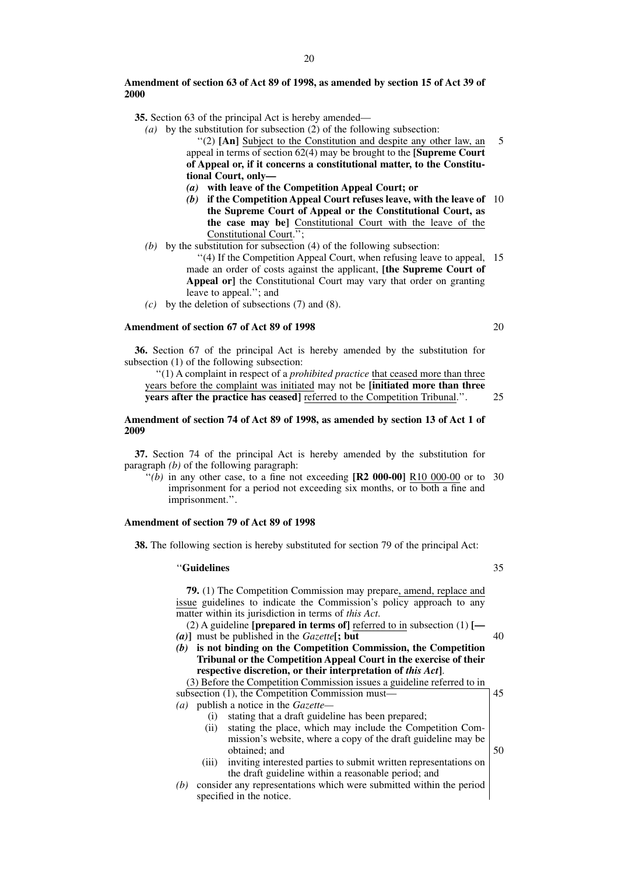**35.** Section 63 of the principal Act is hereby amended—

- *(a)* by the substitution for subsection (2) of the following subsection: ''(2) **[An]** Subject to the Constitution and despite any other law, an appeal in terms of section 62(4) may be brought to the **[Supreme Court of Appeal or, if it concerns a constitutional matter, to the Constitutional Court, only—** 5
	- *(a)* **with leave of the Competition Appeal Court; or**
	- *(b)* **if the Competition Appeal Court refuses leave, with the leave of** 10 **the Supreme Court of Appeal or the Constitutional Court, as the case may be]** Constitutional Court with the leave of the Constitutional Court.'';
- *(b)* by the substitution for subsection (4) of the following subsection:

"(4) If the Competition Appeal Court, when refusing leave to appeal, 15 made an order of costs against the applicant, **[the Supreme Court of** Appeal or] the Constitutional Court may vary that order on granting leave to appeal.''; and

*(c)* by the deletion of subsections (7) and (8).

# **Amendment of section 67 of Act 89 of 1998**

**36.** Section 67 of the principal Act is hereby amended by the substitution for subsection (1) of the following subsection:

''(1) A complaint in respect of a *prohibited practice* that ceased more than three years before the complaint was initiated may not be **[initiated more than three years after the practice has ceased**] referred to the Competition Tribunal.". 25

#### **Amendment of section 74 of Act 89 of 1998, as amended by section 13 of Act 1 of 2009**

**37.** Section 74 of the principal Act is hereby amended by the substitution for paragraph *(b)* of the following paragraph:

"(b) in any other case, to a fine not exceeding  $[R2 000-00]$   $R10 000-00$  or to 30 imprisonment for a period not exceeding six months, or to both a fine and imprisonment.''.

#### **Amendment of section 79 of Act 89 of 1998**

**38.** The following section is hereby substituted for section 79 of the principal Act:

#### ''**Guidelines**

**79.** (1) The Competition Commission may prepare, amend, replace and issue guidelines to indicate the Commission's policy approach to any matter within its jurisdiction in terms of *this Act*.

(2) A guideline **[prepared in terms of]** referred to in subsection (1) **[—** *(a)***]** must be published in the *Gazette***[; but** 40

*(b)* **is not binding on the Competition Commission, the Competition Tribunal or the Competition Appeal Court in the exercise of their respective discretion, or their interpretation of** *this Act***]**.

(3) Before the Competition Commission issues a guideline referred to in subsection (1), the Competition Commission must— *(a)* publish a notice in the *Gazette—* 45

- (i) stating that a draft guideline has been prepared;
- (ii) stating the place, which may include the Competition Commission's website, where a copy of the draft guideline may be obtained; and
- (iii) inviting interested parties to submit written representations on the draft guideline within a reasonable period; and
- *(b)* consider any representations which were submitted within the period specified in the notice.

35

50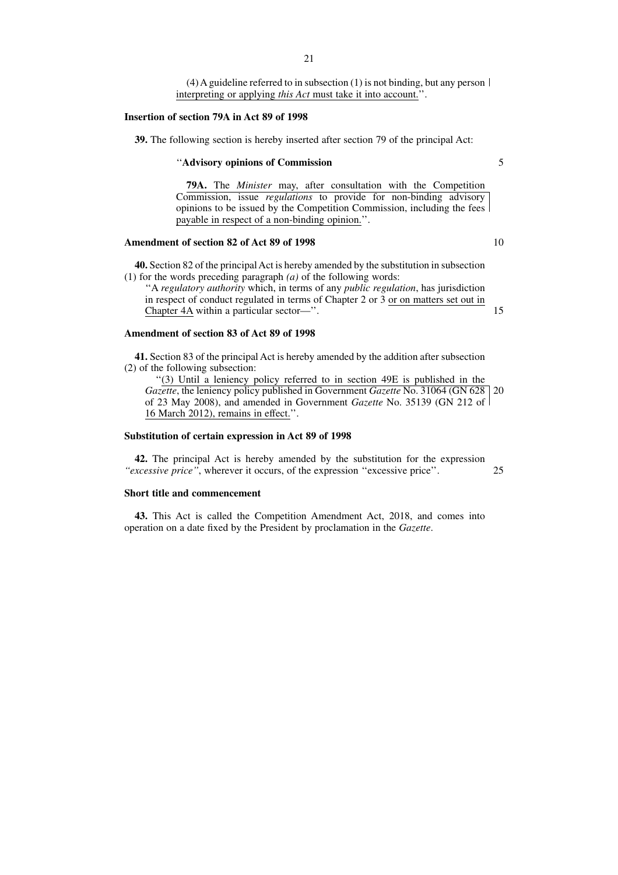(4) A guideline referred to in subsection (1) is not binding, but any person  $\vert$ interpreting or applying *this Act* must take it into account.''.

#### **Insertion of section 79A in Act 89 of 1998**

**39.** The following section is hereby inserted after section 79 of the principal Act:

#### ''**Advisory opinions of Commission**

**79A.** The *Minister* may, after consultation with the Competition Commission, issue *regulations* to provide for non-binding advisory opinions to be issued by the Competition Commission, including the fees payable in respect of a non-binding opinion.''.

# **Amendment of section 82 of Act 89 of 1998**

**40.** Section 82 of the principal Act is hereby amended by the substitution in subsection (1) for the words preceding paragraph *(a)* of the following words:

''A *regulatory authority* which, in terms of any *public regulation*, has jurisdiction in respect of conduct regulated in terms of Chapter 2 or 3 or on matters set out in Chapter 4A within a particular sector—''. 15

## **Amendment of section 83 of Act 89 of 1998**

**41.** Section 83 of the principal Act is hereby amended by the addition after subsection (2) of the following subsection:

''(3) Until a leniency policy referred to in section 49E is published in the *Gazette*, the leniency policy published in Government *Gazette* No. 31064 (GN 628 of 23 May 2008), and amended in Government *Gazette* No. 35139 (GN 212 of 16 March 2012), remains in effect.''. 20

#### **Substitution of certain expression in Act 89 of 1998**

**42.** The principal Act is hereby amended by the substitution for the expression *''excessive price''*, wherever it occurs, of the expression ''excessive price''. 25

# **Short title and commencement**

**43.** This Act is called the Competition Amendment Act, 2018, and comes into operation on a date fixed by the President by proclamation in the *Gazette*.

10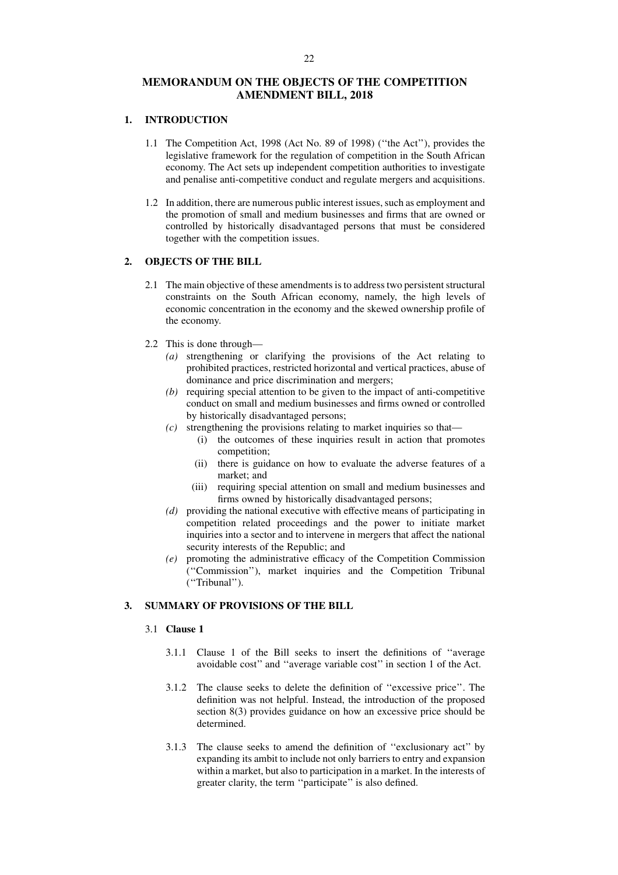# **MEMORANDUM ON THE OBJECTS OF THE COMPETITION AMENDMENT BILL, 2018**

# **1. INTRODUCTION**

- 1.1 The Competition Act, 1998 (Act No. 89 of 1998) (''the Act''), provides the legislative framework for the regulation of competition in the South African economy. The Act sets up independent competition authorities to investigate and penalise anti-competitive conduct and regulate mergers and acquisitions.
- 1.2 In addition, there are numerous public interest issues, such as employment and the promotion of small and medium businesses and firms that are owned or controlled by historically disadvantaged persons that must be considered together with the competition issues.

# **2. OBJECTS OF THE BILL**

- 2.1 The main objective of these amendments is to address two persistent structural constraints on the South African economy, namely, the high levels of economic concentration in the economy and the skewed ownership profile of the economy.
- 2.2 This is done through—
	- *(a)* strengthening or clarifying the provisions of the Act relating to prohibited practices, restricted horizontal and vertical practices, abuse of dominance and price discrimination and mergers;
	- *(b)* requiring special attention to be given to the impact of anti-competitive conduct on small and medium businesses and firms owned or controlled by historically disadvantaged persons;
	- $(c)$  strengthening the provisions relating to market inquiries so that—
		- (i) the outcomes of these inquiries result in action that promotes competition;
		- (ii) there is guidance on how to evaluate the adverse features of a market; and
		- (iii) requiring special attention on small and medium businesses and firms owned by historically disadvantaged persons;
	- *(d)* providing the national executive with effective means of participating in competition related proceedings and the power to initiate market inquiries into a sector and to intervene in mergers that affect the national security interests of the Republic; and
	- *(e)* promoting the administrative efficacy of the Competition Commission (''Commission''), market inquiries and the Competition Tribunal (''Tribunal'').

# **3. SUMMARY OF PROVISIONS OF THE BILL**

#### 3.1 **Clause 1**

- 3.1.1 Clause 1 of the Bill seeks to insert the definitions of ''average avoidable cost'' and ''average variable cost'' in section 1 of the Act.
- 3.1.2 The clause seeks to delete the definition of ''excessive price''. The definition was not helpful. Instead, the introduction of the proposed section 8(3) provides guidance on how an excessive price should be determined.
- 3.1.3 The clause seeks to amend the definition of ''exclusionary act'' by expanding its ambit to include not only barriers to entry and expansion within a market, but also to participation in a market. In the interests of greater clarity, the term ''participate'' is also defined.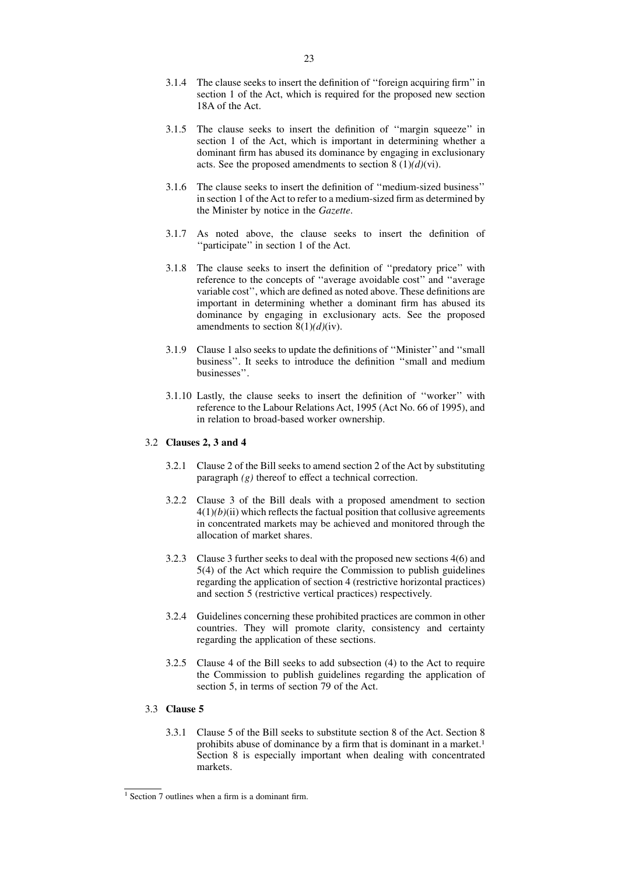- 3.1.4 The clause seeks to insert the definition of ''foreign acquiring firm'' in section 1 of the Act, which is required for the proposed new section 18A of the Act.
- 3.1.5 The clause seeks to insert the definition of ''margin squeeze'' in section 1 of the Act, which is important in determining whether a dominant firm has abused its dominance by engaging in exclusionary acts. See the proposed amendments to section  $8(1)(d)(vi)$ .
- 3.1.6 The clause seeks to insert the definition of ''medium-sized business'' in section 1 of the Act to refer to a medium-sized firm as determined by the Minister by notice in the *Gazette*.
- 3.1.7 As noted above, the clause seeks to insert the definition of ''participate'' in section 1 of the Act.
- 3.1.8 The clause seeks to insert the definition of ''predatory price'' with reference to the concepts of ''average avoidable cost'' and ''average variable cost'', which are defined as noted above. These definitions are important in determining whether a dominant firm has abused its dominance by engaging in exclusionary acts. See the proposed amendments to section 8(1)*(d)*(iv).
- 3.1.9 Clause 1 also seeks to update the definitions of ''Minister'' and ''small business''. It seeks to introduce the definition ''small and medium businesses''.
- 3.1.10 Lastly, the clause seeks to insert the definition of ''worker'' with reference to the Labour Relations Act, 1995 (Act No. 66 of 1995), and in relation to broad-based worker ownership.

# 3.2 **Clauses 2, 3 and 4**

- 3.2.1 Clause 2 of the Bill seeks to amend section 2 of the Act by substituting paragraph *(g)* thereof to effect a technical correction.
- 3.2.2 Clause 3 of the Bill deals with a proposed amendment to section  $4(1)(b)$ (ii) which reflects the factual position that collusive agreements in concentrated markets may be achieved and monitored through the allocation of market shares.
- 3.2.3 Clause 3 further seeks to deal with the proposed new sections 4(6) and 5(4) of the Act which require the Commission to publish guidelines regarding the application of section 4 (restrictive horizontal practices) and section 5 (restrictive vertical practices) respectively.
- 3.2.4 Guidelines concerning these prohibited practices are common in other countries. They will promote clarity, consistency and certainty regarding the application of these sections.
- 3.2.5 Clause 4 of the Bill seeks to add subsection (4) to the Act to require the Commission to publish guidelines regarding the application of section 5, in terms of section 79 of the Act.

# 3.3 **Clause 5**

3.3.1 Clause 5 of the Bill seeks to substitute section 8 of the Act. Section 8 prohibits abuse of dominance by a firm that is dominant in a market.<sup>1</sup> Section 8 is especially important when dealing with concentrated markets.

 $1$  Section 7 outlines when a firm is a dominant firm.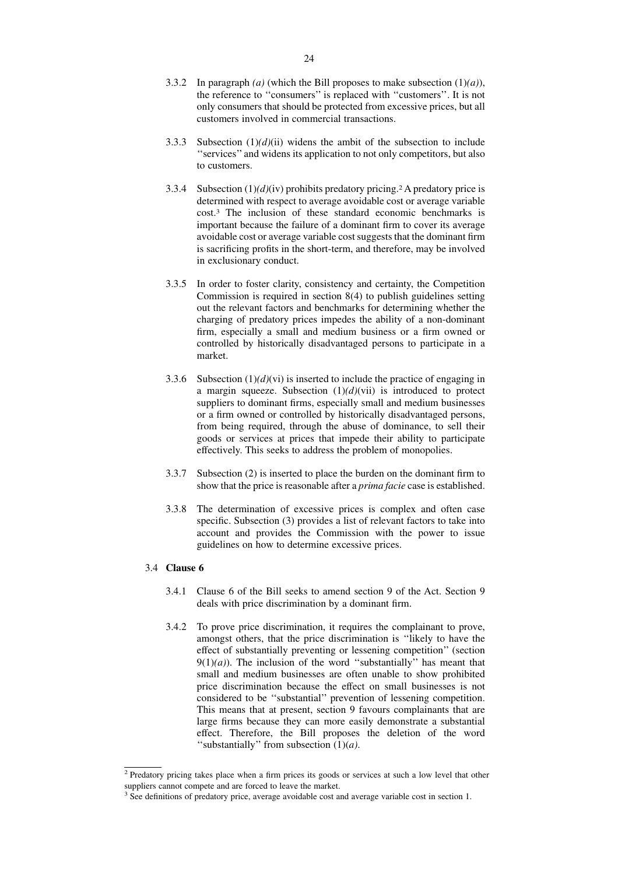- 3.3.2 In paragraph *(a)* (which the Bill proposes to make subsection (1)*(a)*), the reference to ''consumers'' is replaced with ''customers''. It is not only consumers that should be protected from excessive prices, but all customers involved in commercial transactions.
- 3.3.3 Subsection  $(1)(d)(ii)$  widens the ambit of the subsection to include ''services'' and widens its application to not only competitors, but also to customers.
- 3.3.4 Subsection  $(1)(d)(iv)$  prohibits predatory pricing.<sup>2</sup> A predatory price is determined with respect to average avoidable cost or average variable cost.3 The inclusion of these standard economic benchmarks is important because the failure of a dominant firm to cover its average avoidable cost or average variable cost suggests that the dominant firm is sacrificing profits in the short-term, and therefore, may be involved in exclusionary conduct.
- 3.3.5 In order to foster clarity, consistency and certainty, the Competition Commission is required in section 8(4) to publish guidelines setting out the relevant factors and benchmarks for determining whether the charging of predatory prices impedes the ability of a non-dominant firm, especially a small and medium business or a firm owned or controlled by historically disadvantaged persons to participate in a market.
- 3.3.6 Subsection  $(1)(d)(vi)$  is inserted to include the practice of engaging in a margin squeeze. Subsection  $(1)(d)(\nabla i)$  is introduced to protect suppliers to dominant firms, especially small and medium businesses or a firm owned or controlled by historically disadvantaged persons, from being required, through the abuse of dominance, to sell their goods or services at prices that impede their ability to participate effectively. This seeks to address the problem of monopolies.
- 3.3.7 Subsection (2) is inserted to place the burden on the dominant firm to show that the price is reasonable after a *prima facie* case is established.
- 3.3.8 The determination of excessive prices is complex and often case specific. Subsection (3) provides a list of relevant factors to take into account and provides the Commission with the power to issue guidelines on how to determine excessive prices.

#### 3.4 **Clause 6**

- 3.4.1 Clause 6 of the Bill seeks to amend section 9 of the Act. Section 9 deals with price discrimination by a dominant firm.
- 3.4.2 To prove price discrimination, it requires the complainant to prove, amongst others, that the price discrimination is ''likely to have the effect of substantially preventing or lessening competition'' (section  $9(1)(a)$ ). The inclusion of the word "substantially" has meant that small and medium businesses are often unable to show prohibited price discrimination because the effect on small businesses is not considered to be ''substantial'' prevention of lessening competition. This means that at present, section 9 favours complainants that are large firms because they can more easily demonstrate a substantial effect. Therefore, the Bill proposes the deletion of the word ''substantially'' from subsection (1)(*a)*.

<sup>&</sup>lt;sup>2</sup> Predatory pricing takes place when a firm prices its goods or services at such a low level that other suppliers cannot compete and are forced to leave the market.

<sup>&</sup>lt;sup>3</sup> See definitions of predatory price, average avoidable cost and average variable cost in section 1.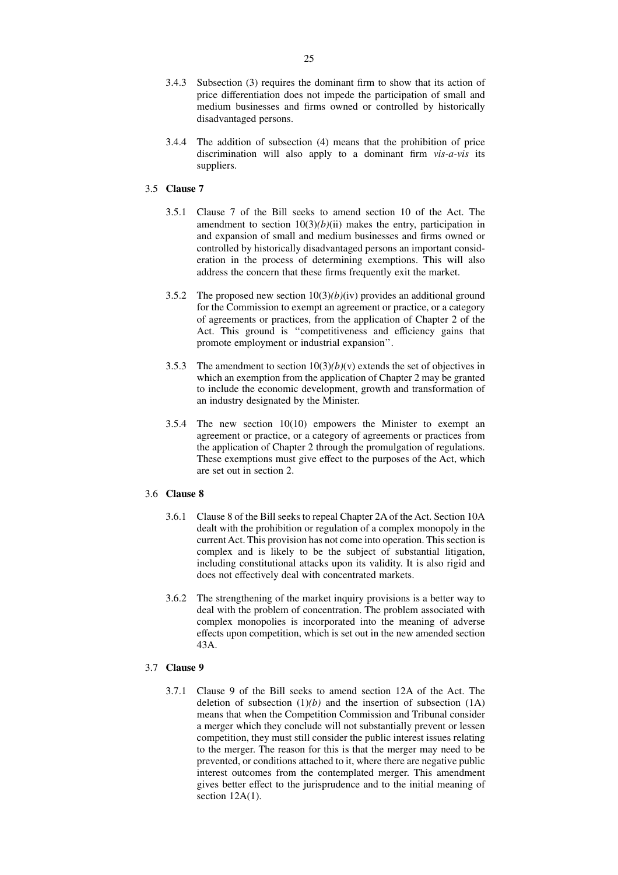- 3.4.3 Subsection (3) requires the dominant firm to show that its action of price differentiation does not impede the participation of small and medium businesses and firms owned or controlled by historically disadvantaged persons.
- 3.4.4 The addition of subsection (4) means that the prohibition of price discrimination will also apply to a dominant firm *vis-a-vis* its suppliers.

# 3.5 **Clause 7**

- 3.5.1 Clause 7 of the Bill seeks to amend section 10 of the Act. The amendment to section  $10(3)(b)(ii)$  makes the entry, participation in and expansion of small and medium businesses and firms owned or controlled by historically disadvantaged persons an important consideration in the process of determining exemptions. This will also address the concern that these firms frequently exit the market.
- 3.5.2 The proposed new section 10(3)*(b)*(iv) provides an additional ground for the Commission to exempt an agreement or practice, or a category of agreements or practices, from the application of Chapter 2 of the Act. This ground is ''competitiveness and efficiency gains that promote employment or industrial expansion''.
- 3.5.3 The amendment to section  $10(3)(b)(v)$  extends the set of objectives in which an exemption from the application of Chapter 2 may be granted to include the economic development, growth and transformation of an industry designated by the Minister.
- 3.5.4 The new section 10(10) empowers the Minister to exempt an agreement or practice, or a category of agreements or practices from the application of Chapter 2 through the promulgation of regulations. These exemptions must give effect to the purposes of the Act, which are set out in section 2.

# 3.6 **Clause 8**

- 3.6.1 Clause 8 of the Bill seeks to repeal Chapter 2A of the Act. Section 10A dealt with the prohibition or regulation of a complex monopoly in the current Act. This provision has not come into operation. This section is complex and is likely to be the subject of substantial litigation, including constitutional attacks upon its validity. It is also rigid and does not effectively deal with concentrated markets.
- 3.6.2 The strengthening of the market inquiry provisions is a better way to deal with the problem of concentration. The problem associated with complex monopolies is incorporated into the meaning of adverse effects upon competition, which is set out in the new amended section 43A.

# 3.7 **Clause 9**

3.7.1 Clause 9 of the Bill seeks to amend section 12A of the Act. The deletion of subsection  $(1)(b)$  and the insertion of subsection  $(1)$ means that when the Competition Commission and Tribunal consider a merger which they conclude will not substantially prevent or lessen competition, they must still consider the public interest issues relating to the merger. The reason for this is that the merger may need to be prevented, or conditions attached to it, where there are negative public interest outcomes from the contemplated merger. This amendment gives better effect to the jurisprudence and to the initial meaning of section  $12A(1)$ .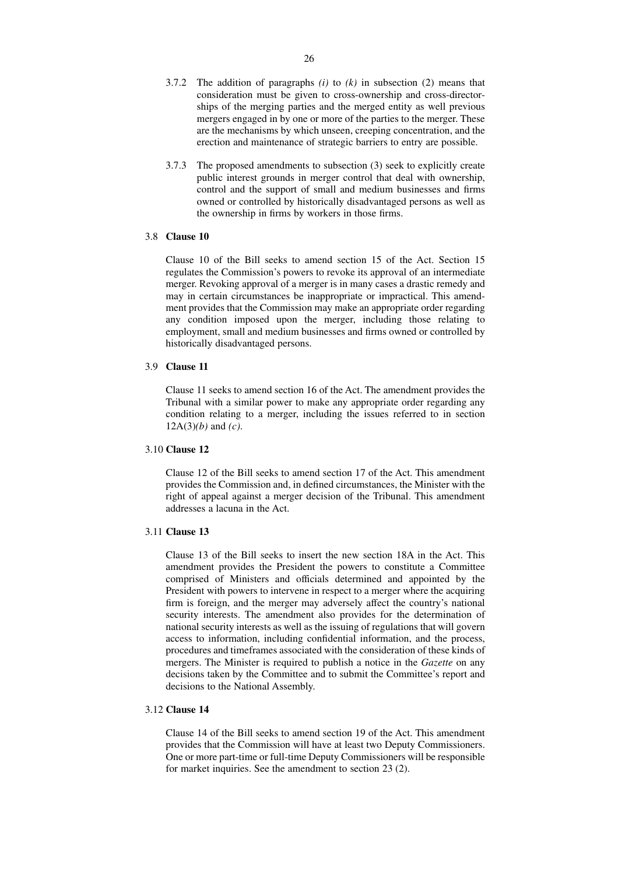- 3.7.2 The addition of paragraphs *(i)* to *(k)* in subsection (2) means that consideration must be given to cross-ownership and cross-directorships of the merging parties and the merged entity as well previous mergers engaged in by one or more of the parties to the merger. These are the mechanisms by which unseen, creeping concentration, and the erection and maintenance of strategic barriers to entry are possible.
- 3.7.3 The proposed amendments to subsection (3) seek to explicitly create public interest grounds in merger control that deal with ownership, control and the support of small and medium businesses and firms owned or controlled by historically disadvantaged persons as well as the ownership in firms by workers in those firms.

# 3.8 **Clause 10**

Clause 10 of the Bill seeks to amend section 15 of the Act. Section 15 regulates the Commission's powers to revoke its approval of an intermediate merger. Revoking approval of a merger is in many cases a drastic remedy and may in certain circumstances be inappropriate or impractical. This amendment provides that the Commission may make an appropriate order regarding any condition imposed upon the merger, including those relating to employment, small and medium businesses and firms owned or controlled by historically disadvantaged persons.

#### 3.9 **Clause 11**

Clause 11 seeks to amend section 16 of the Act. The amendment provides the Tribunal with a similar power to make any appropriate order regarding any condition relating to a merger, including the issues referred to in section 12A(3)*(b)* and *(c)*.

# 3.10 **Clause 12**

Clause 12 of the Bill seeks to amend section 17 of the Act. This amendment provides the Commission and, in defined circumstances, the Minister with the right of appeal against a merger decision of the Tribunal. This amendment addresses a lacuna in the Act.

# 3.11 **Clause 13**

Clause 13 of the Bill seeks to insert the new section 18A in the Act. This amendment provides the President the powers to constitute a Committee comprised of Ministers and officials determined and appointed by the President with powers to intervene in respect to a merger where the acquiring firm is foreign, and the merger may adversely affect the country's national security interests. The amendment also provides for the determination of national security interests as well as the issuing of regulations that will govern access to information, including confidential information, and the process, procedures and timeframes associated with the consideration of these kinds of mergers. The Minister is required to publish a notice in the *Gazette* on any decisions taken by the Committee and to submit the Committee's report and decisions to the National Assembly.

# 3.12 **Clause 14**

Clause 14 of the Bill seeks to amend section 19 of the Act. This amendment provides that the Commission will have at least two Deputy Commissioners. One or more part-time or full-time Deputy Commissioners will be responsible for market inquiries. See the amendment to section 23 (2).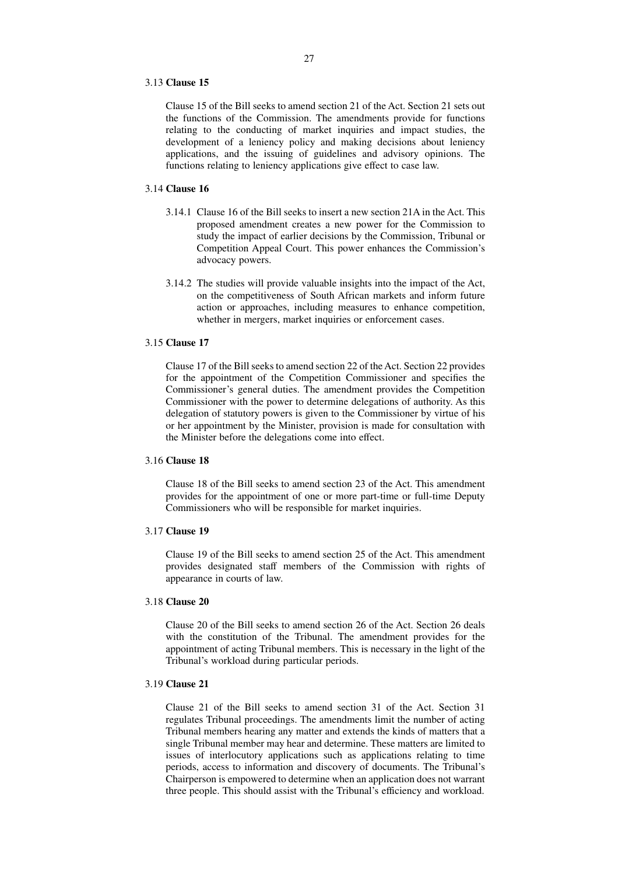#### 3.13 **Clause 15**

Clause 15 of the Bill seeks to amend section 21 of the Act. Section 21 sets out the functions of the Commission. The amendments provide for functions relating to the conducting of market inquiries and impact studies, the development of a leniency policy and making decisions about leniency applications, and the issuing of guidelines and advisory opinions. The functions relating to leniency applications give effect to case law.

# 3.14 **Clause 16**

- 3.14.1 Clause 16 of the Bill seeks to insert a new section 21A in the Act. This proposed amendment creates a new power for the Commission to study the impact of earlier decisions by the Commission, Tribunal or Competition Appeal Court. This power enhances the Commission's advocacy powers.
- 3.14.2 The studies will provide valuable insights into the impact of the Act, on the competitiveness of South African markets and inform future action or approaches, including measures to enhance competition, whether in mergers, market inquiries or enforcement cases.

#### 3.15 **Clause 17**

Clause 17 of the Bill seeks to amend section 22 of the Act. Section 22 provides for the appointment of the Competition Commissioner and specifies the Commissioner's general duties. The amendment provides the Competition Commissioner with the power to determine delegations of authority. As this delegation of statutory powers is given to the Commissioner by virtue of his or her appointment by the Minister, provision is made for consultation with the Minister before the delegations come into effect.

# 3.16 **Clause 18**

Clause 18 of the Bill seeks to amend section 23 of the Act. This amendment provides for the appointment of one or more part-time or full-time Deputy Commissioners who will be responsible for market inquiries.

#### 3.17 **Clause 19**

Clause 19 of the Bill seeks to amend section 25 of the Act. This amendment provides designated staff members of the Commission with rights of appearance in courts of law.

#### 3.18 **Clause 20**

Clause 20 of the Bill seeks to amend section 26 of the Act. Section 26 deals with the constitution of the Tribunal. The amendment provides for the appointment of acting Tribunal members. This is necessary in the light of the Tribunal's workload during particular periods.

# 3.19 **Clause 21**

Clause 21 of the Bill seeks to amend section 31 of the Act. Section 31 regulates Tribunal proceedings. The amendments limit the number of acting Tribunal members hearing any matter and extends the kinds of matters that a single Tribunal member may hear and determine. These matters are limited to issues of interlocutory applications such as applications relating to time periods, access to information and discovery of documents. The Tribunal's Chairperson is empowered to determine when an application does not warrant three people. This should assist with the Tribunal's efficiency and workload.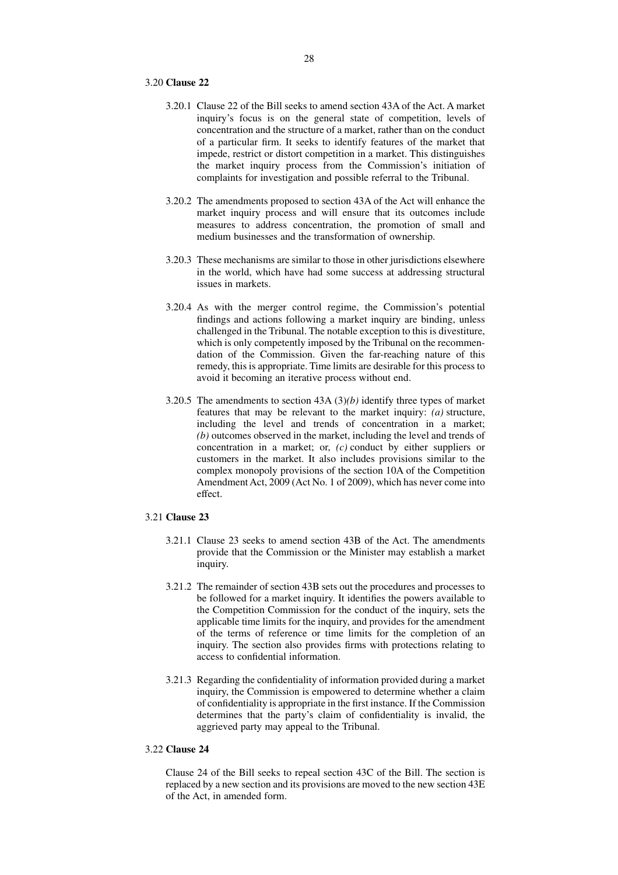#### 3.20 **Clause 22**

- 3.20.1 Clause 22 of the Bill seeks to amend section 43A of the Act. A market inquiry's focus is on the general state of competition, levels of concentration and the structure of a market, rather than on the conduct of a particular firm. It seeks to identify features of the market that impede, restrict or distort competition in a market. This distinguishes the market inquiry process from the Commission's initiation of complaints for investigation and possible referral to the Tribunal.
- 3.20.2 The amendments proposed to section 43A of the Act will enhance the market inquiry process and will ensure that its outcomes include measures to address concentration, the promotion of small and medium businesses and the transformation of ownership.
- 3.20.3 These mechanisms are similar to those in other jurisdictions elsewhere in the world, which have had some success at addressing structural issues in markets.
- 3.20.4 As with the merger control regime, the Commission's potential findings and actions following a market inquiry are binding, unless challenged in the Tribunal. The notable exception to this is divestiture, which is only competently imposed by the Tribunal on the recommendation of the Commission. Given the far-reaching nature of this remedy, this is appropriate. Time limits are desirable for this process to avoid it becoming an iterative process without end.
- 3.20.5 The amendments to section 43A (3)*(b)* identify three types of market features that may be relevant to the market inquiry: *(a)* structure, including the level and trends of concentration in a market; *(b)* outcomes observed in the market, including the level and trends of concentration in a market; or, *(c)* conduct by either suppliers or customers in the market. It also includes provisions similar to the complex monopoly provisions of the section 10A of the Competition Amendment Act, 2009 (Act No. 1 of 2009), which has never come into effect.

# 3.21 **Clause 23**

- 3.21.1 Clause 23 seeks to amend section 43B of the Act. The amendments provide that the Commission or the Minister may establish a market inquiry.
- 3.21.2 The remainder of section 43B sets out the procedures and processes to be followed for a market inquiry. It identifies the powers available to the Competition Commission for the conduct of the inquiry, sets the applicable time limits for the inquiry, and provides for the amendment of the terms of reference or time limits for the completion of an inquiry. The section also provides firms with protections relating to access to confidential information.
- 3.21.3 Regarding the confidentiality of information provided during a market inquiry, the Commission is empowered to determine whether a claim of confidentiality is appropriate in the first instance. If the Commission determines that the party's claim of confidentiality is invalid, the aggrieved party may appeal to the Tribunal.

### 3.22 **Clause 24**

Clause 24 of the Bill seeks to repeal section 43C of the Bill. The section is replaced by a new section and its provisions are moved to the new section 43E of the Act, in amended form.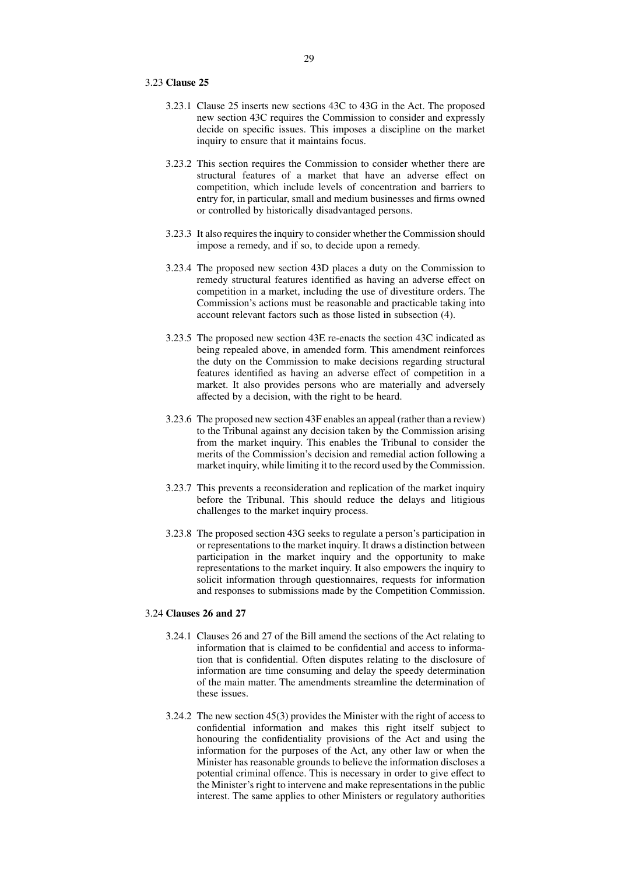#### 3.23 **Clause 25**

- 3.23.1 Clause 25 inserts new sections 43C to 43G in the Act. The proposed new section 43C requires the Commission to consider and expressly decide on specific issues. This imposes a discipline on the market inquiry to ensure that it maintains focus.
- 3.23.2 This section requires the Commission to consider whether there are structural features of a market that have an adverse effect on competition, which include levels of concentration and barriers to entry for, in particular, small and medium businesses and firms owned or controlled by historically disadvantaged persons.
- 3.23.3 It also requires the inquiry to consider whether the Commission should impose a remedy, and if so, to decide upon a remedy.
- 3.23.4 The proposed new section 43D places a duty on the Commission to remedy structural features identified as having an adverse effect on competition in a market, including the use of divestiture orders. The Commission's actions must be reasonable and practicable taking into account relevant factors such as those listed in subsection (4).
- 3.23.5 The proposed new section 43E re-enacts the section 43C indicated as being repealed above, in amended form. This amendment reinforces the duty on the Commission to make decisions regarding structural features identified as having an adverse effect of competition in a market. It also provides persons who are materially and adversely affected by a decision, with the right to be heard.
- 3.23.6 The proposed new section 43F enables an appeal (rather than a review) to the Tribunal against any decision taken by the Commission arising from the market inquiry. This enables the Tribunal to consider the merits of the Commission's decision and remedial action following a market inquiry, while limiting it to the record used by the Commission.
- 3.23.7 This prevents a reconsideration and replication of the market inquiry before the Tribunal. This should reduce the delays and litigious challenges to the market inquiry process.
- 3.23.8 The proposed section 43G seeks to regulate a person's participation in or representations to the market inquiry. It draws a distinction between participation in the market inquiry and the opportunity to make representations to the market inquiry. It also empowers the inquiry to solicit information through questionnaires, requests for information and responses to submissions made by the Competition Commission.

# 3.24 **Clauses 26 and 27**

- 3.24.1 Clauses 26 and 27 of the Bill amend the sections of the Act relating to information that is claimed to be confidential and access to information that is confidential. Often disputes relating to the disclosure of information are time consuming and delay the speedy determination of the main matter. The amendments streamline the determination of these issues.
- 3.24.2 The new section 45(3) provides the Minister with the right of access to confidential information and makes this right itself subject to honouring the confidentiality provisions of the Act and using the information for the purposes of the Act, any other law or when the Minister has reasonable grounds to believe the information discloses a potential criminal offence. This is necessary in order to give effect to the Minister's right to intervene and make representations in the public interest. The same applies to other Ministers or regulatory authorities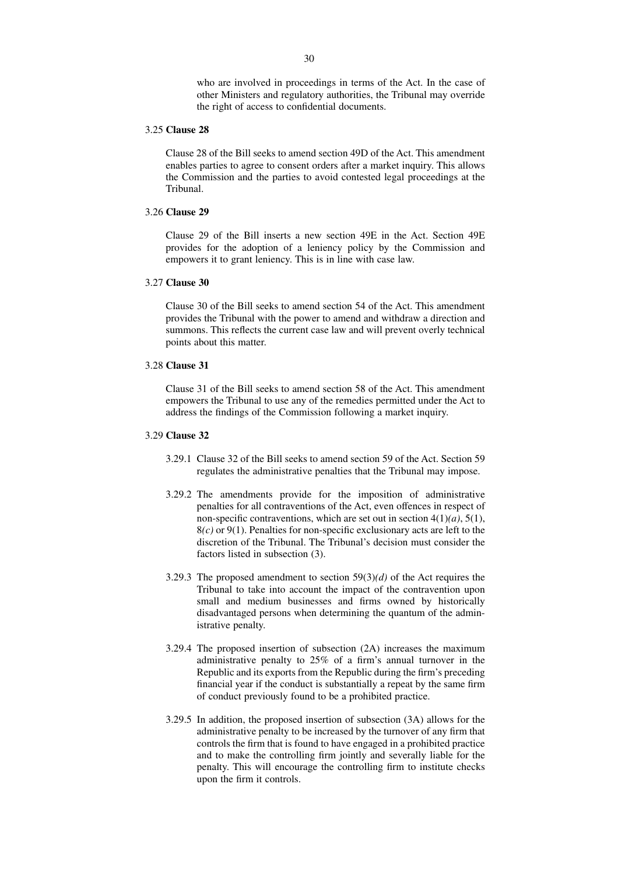who are involved in proceedings in terms of the Act. In the case of other Ministers and regulatory authorities, the Tribunal may override the right of access to confidential documents.

# 3.25 **Clause 28**

Clause 28 of the Bill seeks to amend section 49D of the Act. This amendment enables parties to agree to consent orders after a market inquiry. This allows the Commission and the parties to avoid contested legal proceedings at the Tribunal.

# 3.26 **Clause 29**

Clause 29 of the Bill inserts a new section 49E in the Act. Section 49E provides for the adoption of a leniency policy by the Commission and empowers it to grant leniency. This is in line with case law.

# 3.27 **Clause 30**

Clause 30 of the Bill seeks to amend section 54 of the Act. This amendment provides the Tribunal with the power to amend and withdraw a direction and summons. This reflects the current case law and will prevent overly technical points about this matter.

# 3.28 **Clause 31**

Clause 31 of the Bill seeks to amend section 58 of the Act. This amendment empowers the Tribunal to use any of the remedies permitted under the Act to address the findings of the Commission following a market inquiry.

#### 3.29 **Clause 32**

- 3.29.1 Clause 32 of the Bill seeks to amend section 59 of the Act. Section 59 regulates the administrative penalties that the Tribunal may impose.
- 3.29.2 The amendments provide for the imposition of administrative penalties for all contraventions of the Act, even offences in respect of non-specific contraventions, which are set out in section 4(1)*(a)*, 5(1), 8*(c)* or 9(1). Penalties for non-specific exclusionary acts are left to the discretion of the Tribunal. The Tribunal's decision must consider the factors listed in subsection (3).
- 3.29.3 The proposed amendment to section 59(3)*(d)* of the Act requires the Tribunal to take into account the impact of the contravention upon small and medium businesses and firms owned by historically disadvantaged persons when determining the quantum of the administrative penalty.
- 3.29.4 The proposed insertion of subsection (2A) increases the maximum administrative penalty to 25% of a firm's annual turnover in the Republic and its exports from the Republic during the firm's preceding financial year if the conduct is substantially a repeat by the same firm of conduct previously found to be a prohibited practice.
- 3.29.5 In addition, the proposed insertion of subsection (3A) allows for the administrative penalty to be increased by the turnover of any firm that controls the firm that is found to have engaged in a prohibited practice and to make the controlling firm jointly and severally liable for the penalty. This will encourage the controlling firm to institute checks upon the firm it controls.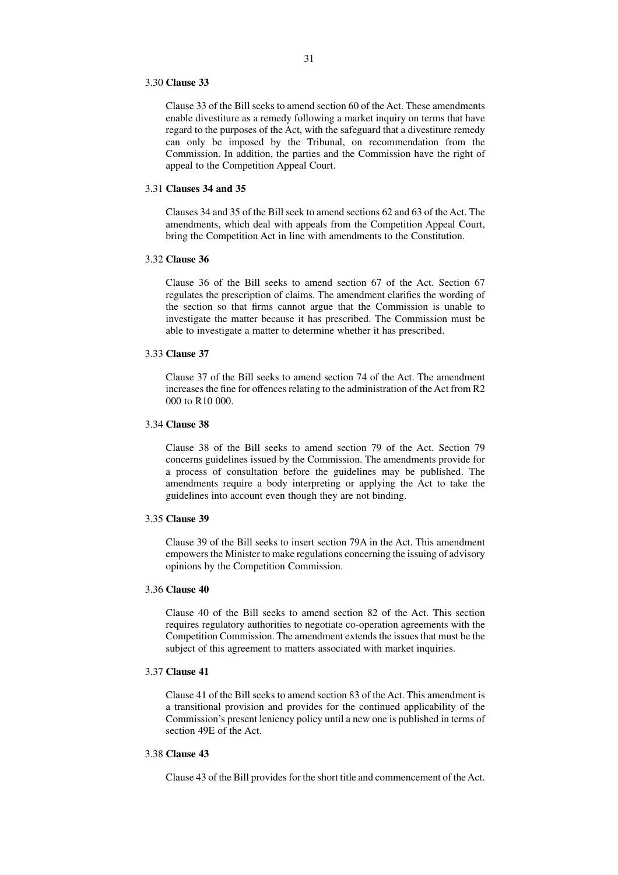#### 3.30 **Clause 33**

Clause 33 of the Bill seeks to amend section 60 of the Act. These amendments enable divestiture as a remedy following a market inquiry on terms that have regard to the purposes of the Act, with the safeguard that a divestiture remedy can only be imposed by the Tribunal, on recommendation from the Commission. In addition, the parties and the Commission have the right of appeal to the Competition Appeal Court.

#### 3.31 **Clauses 34 and 35**

Clauses 34 and 35 of the Bill seek to amend sections 62 and 63 of the Act. The amendments, which deal with appeals from the Competition Appeal Court, bring the Competition Act in line with amendments to the Constitution.

# 3.32 **Clause 36**

Clause 36 of the Bill seeks to amend section 67 of the Act. Section 67 regulates the prescription of claims. The amendment clarifies the wording of the section so that firms cannot argue that the Commission is unable to investigate the matter because it has prescribed. The Commission must be able to investigate a matter to determine whether it has prescribed.

# 3.33 **Clause 37**

Clause 37 of the Bill seeks to amend section 74 of the Act. The amendment increases the fine for offences relating to the administration of the Act from R2 000 to R10 000.

# 3.34 **Clause 38**

Clause 38 of the Bill seeks to amend section 79 of the Act. Section 79 concerns guidelines issued by the Commission. The amendments provide for a process of consultation before the guidelines may be published. The amendments require a body interpreting or applying the Act to take the guidelines into account even though they are not binding.

#### 3.35 **Clause 39**

Clause 39 of the Bill seeks to insert section 79A in the Act. This amendment empowers the Minister to make regulations concerning the issuing of advisory opinions by the Competition Commission.

#### 3.36 **Clause 40**

Clause 40 of the Bill seeks to amend section 82 of the Act. This section requires regulatory authorities to negotiate co-operation agreements with the Competition Commission. The amendment extends the issues that must be the subject of this agreement to matters associated with market inquiries.

# 3.37 **Clause 41**

Clause 41 of the Bill seeks to amend section 83 of the Act. This amendment is a transitional provision and provides for the continued applicability of the Commission's present leniency policy until a new one is published in terms of section 49E of the Act.

# 3.38 **Clause 43**

Clause 43 of the Bill provides for the short title and commencement of the Act.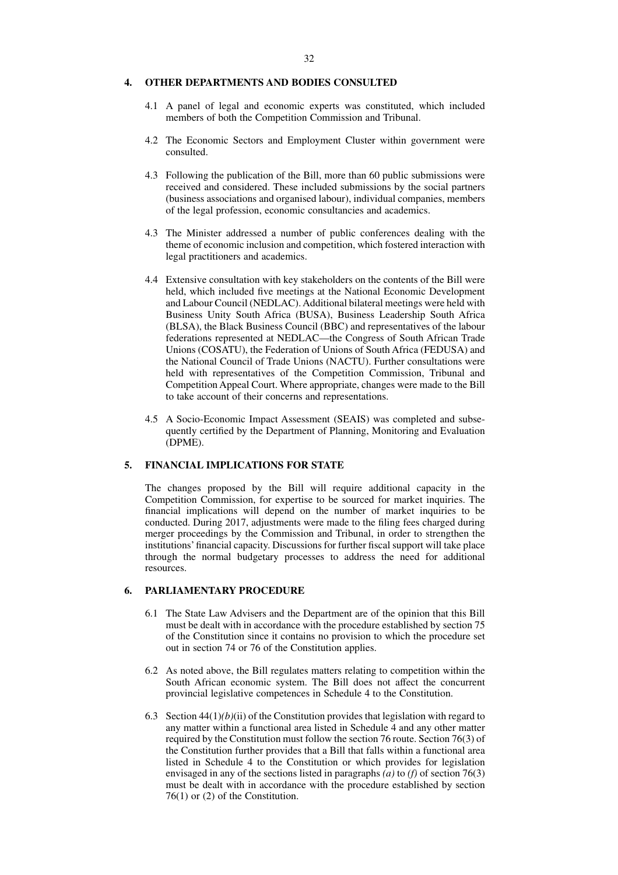#### **4. OTHER DEPARTMENTS AND BODIES CONSULTED**

- 4.1 A panel of legal and economic experts was constituted, which included members of both the Competition Commission and Tribunal.
- 4.2 The Economic Sectors and Employment Cluster within government were consulted.
- 4.3 Following the publication of the Bill, more than 60 public submissions were received and considered. These included submissions by the social partners (business associations and organised labour), individual companies, members of the legal profession, economic consultancies and academics.
- 4.3 The Minister addressed a number of public conferences dealing with the theme of economic inclusion and competition, which fostered interaction with legal practitioners and academics.
- 4.4 Extensive consultation with key stakeholders on the contents of the Bill were held, which included five meetings at the National Economic Development and Labour Council (NEDLAC). Additional bilateral meetings were held with Business Unity South Africa (BUSA), Business Leadership South Africa (BLSA), the Black Business Council (BBC) and representatives of the labour federations represented at NEDLAC—the Congress of South African Trade Unions (COSATU), the Federation of Unions of South Africa (FEDUSA) and the National Council of Trade Unions (NACTU). Further consultations were held with representatives of the Competition Commission, Tribunal and Competition Appeal Court. Where appropriate, changes were made to the Bill to take account of their concerns and representations.
- 4.5 A Socio-Economic Impact Assessment (SEAIS) was completed and subsequently certified by the Department of Planning, Monitoring and Evaluation (DPME).

# **5. FINANCIAL IMPLICATIONS FOR STATE**

The changes proposed by the Bill will require additional capacity in the Competition Commission, for expertise to be sourced for market inquiries. The financial implications will depend on the number of market inquiries to be conducted. During 2017, adjustments were made to the filing fees charged during merger proceedings by the Commission and Tribunal, in order to strengthen the institutions' financial capacity. Discussions for further fiscal support will take place through the normal budgetary processes to address the need for additional resources.

# **6. PARLIAMENTARY PROCEDURE**

- 6.1 The State Law Advisers and the Department are of the opinion that this Bill must be dealt with in accordance with the procedure established by section 75 of the Constitution since it contains no provision to which the procedure set out in section 74 or 76 of the Constitution applies.
- 6.2 As noted above, the Bill regulates matters relating to competition within the South African economic system. The Bill does not affect the concurrent provincial legislative competences in Schedule 4 to the Constitution.
- 6.3 Section 44(1)*(b)*(ii) of the Constitution provides that legislation with regard to any matter within a functional area listed in Schedule 4 and any other matter required by the Constitution must follow the section 76 route. Section 76(3) of the Constitution further provides that a Bill that falls within a functional area listed in Schedule 4 to the Constitution or which provides for legislation envisaged in any of the sections listed in paragraphs *(a)* to *(f)* of section 76(3) must be dealt with in accordance with the procedure established by section 76(1) or (2) of the Constitution.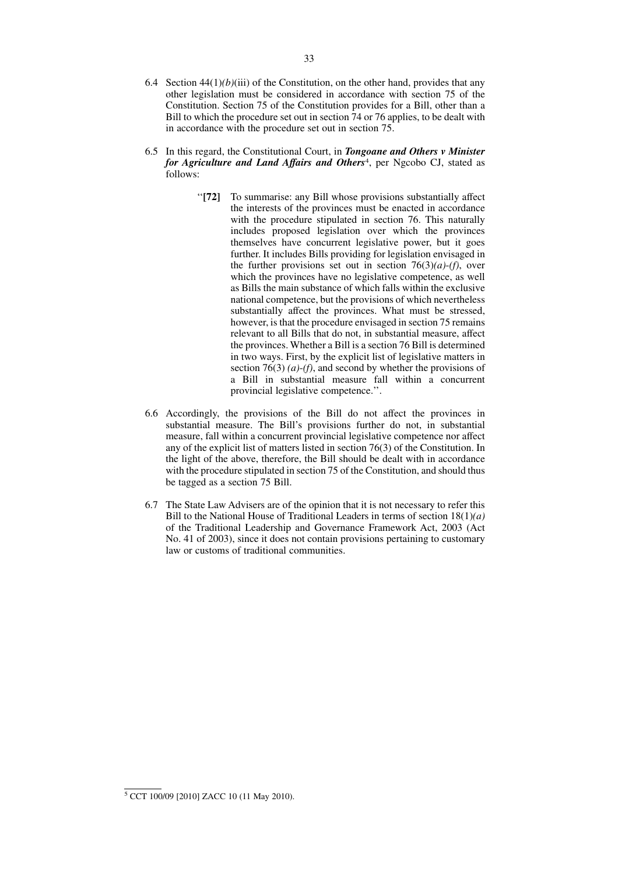- 6.5 In this regard, the Constitutional Court, in *Tongoane and Others v Minister for Agriculture and Land Affairs and Others*4, per Ngcobo CJ, stated as follows:
	- ''**[72]** To summarise: any Bill whose provisions substantially affect the interests of the provinces must be enacted in accordance with the procedure stipulated in section 76. This naturally includes proposed legislation over which the provinces themselves have concurrent legislative power, but it goes further. It includes Bills providing for legislation envisaged in the further provisions set out in section  $76(3)(a)-(f)$ , over which the provinces have no legislative competence, as well as Bills the main substance of which falls within the exclusive national competence, but the provisions of which nevertheless substantially affect the provinces. What must be stressed, however, is that the procedure envisaged in section 75 remains relevant to all Bills that do not, in substantial measure, affect the provinces. Whether a Bill is a section 76 Bill is determined in two ways. First, by the explicit list of legislative matters in section 76(3) *(a)*-*(f)*, and second by whether the provisions of a Bill in substantial measure fall within a concurrent provincial legislative competence.''.
- 6.6 Accordingly, the provisions of the Bill do not affect the provinces in substantial measure. The Bill's provisions further do not, in substantial measure, fall within a concurrent provincial legislative competence nor affect any of the explicit list of matters listed in section 76(3) of the Constitution. In the light of the above, therefore, the Bill should be dealt with in accordance with the procedure stipulated in section 75 of the Constitution, and should thus be tagged as a section 75 Bill.
- 6.7 The State Law Advisers are of the opinion that it is not necessary to refer this Bill to the National House of Traditional Leaders in terms of section 18(1)*(a)* of the Traditional Leadership and Governance Framework Act, 2003 (Act No. 41 of 2003), since it does not contain provisions pertaining to customary law or customs of traditional communities.

<sup>5</sup> CCT 100/09 [2010] ZACC 10 (11 May 2010).